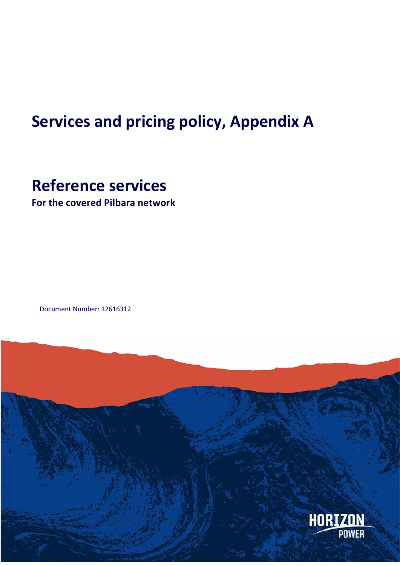# **Services and pricing policy, Appendix A**

# **Reference services**

**For the covered Pilbara network**

Document Number: 12616312

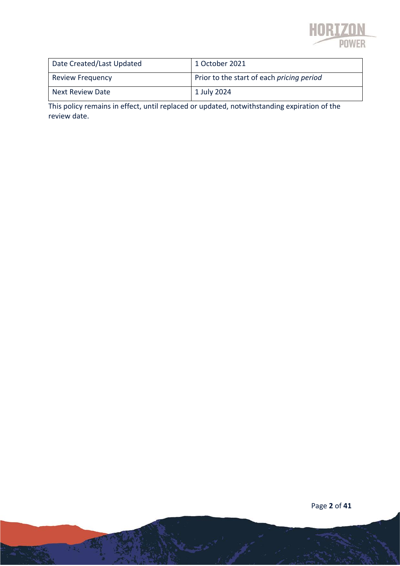

| Date Created/Last Updated | 1 October 2021                            |
|---------------------------|-------------------------------------------|
| <b>Review Frequency</b>   | Prior to the start of each pricing period |
| <b>Next Review Date</b>   | 1 July 2024                               |

This policy remains in effect, until replaced or updated, notwithstanding expiration of the review date.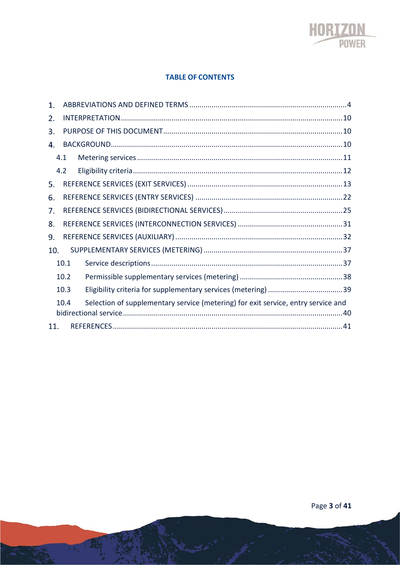

#### **TABLE OF CONTENTS**

| 1.  |      |                                                                                   |  |
|-----|------|-----------------------------------------------------------------------------------|--|
| 2.  |      |                                                                                   |  |
| 3.  |      |                                                                                   |  |
| 4.  |      |                                                                                   |  |
|     | 4.1  |                                                                                   |  |
|     | 4.2  |                                                                                   |  |
| 5.  |      |                                                                                   |  |
| 6.  |      |                                                                                   |  |
| 7.  |      |                                                                                   |  |
| 8.  |      |                                                                                   |  |
| 9.  |      |                                                                                   |  |
| 10. |      |                                                                                   |  |
|     | 10.1 |                                                                                   |  |
|     | 10.2 |                                                                                   |  |
|     | 10.3 |                                                                                   |  |
|     | 10.4 | Selection of supplementary service (metering) for exit service, entry service and |  |
| 11. |      |                                                                                   |  |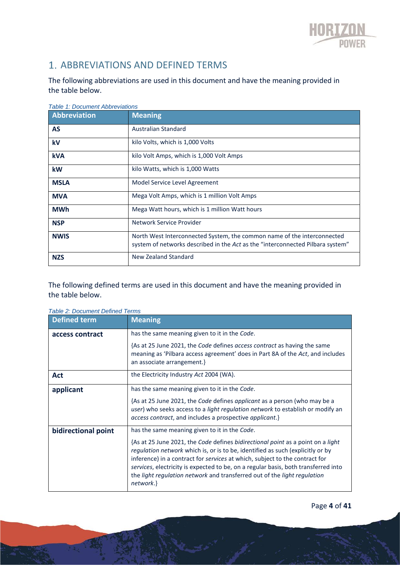

## 1. ABBREVIATIONS AND DEFINED TERMS

The following abbreviations are used in this document and have the meaning provided in the table below.

| <b>Table 1: Document Abbreviations</b> |                                                                                                                                                           |
|----------------------------------------|-----------------------------------------------------------------------------------------------------------------------------------------------------------|
| Abbreviation                           | <b>Meaning</b>                                                                                                                                            |
| <b>AS</b>                              | Australian Standard                                                                                                                                       |
| kV                                     | kilo Volts, which is 1,000 Volts                                                                                                                          |
| <b>kVA</b>                             | kilo Volt Amps, which is 1,000 Volt Amps                                                                                                                  |
| kW                                     | kilo Watts, which is 1,000 Watts                                                                                                                          |
| <b>MSLA</b>                            | Model Service Level Agreement                                                                                                                             |
| <b>MVA</b>                             | Mega Volt Amps, which is 1 million Volt Amps                                                                                                              |
| <b>MWh</b>                             | Mega Watt hours, which is 1 million Watt hours                                                                                                            |
| <b>NSP</b>                             | Network Service Provider                                                                                                                                  |
| <b>NWIS</b>                            | North West Interconnected System, the common name of the interconnected<br>system of networks described in the Act as the "interconnected Pilbara system" |
| <b>NZS</b>                             | New Zealand Standard                                                                                                                                      |

The following defined terms are used in this document and have the meaning provided in the table below.

| apie z: Document Defined Terms |                                                                                                                                                                                                                                                                                                                                                                                                                                 |
|--------------------------------|---------------------------------------------------------------------------------------------------------------------------------------------------------------------------------------------------------------------------------------------------------------------------------------------------------------------------------------------------------------------------------------------------------------------------------|
| <b>Defined term</b>            | <b>Meaning</b>                                                                                                                                                                                                                                                                                                                                                                                                                  |
| access contract                | has the same meaning given to it in the Code.                                                                                                                                                                                                                                                                                                                                                                                   |
|                                | {As at 25 June 2021, the Code defines access contract as having the same<br>meaning as 'Pilbara access agreement' does in Part 8A of the Act, and includes<br>an associate arrangement.}                                                                                                                                                                                                                                        |
| Act                            | the Electricity Industry Act 2004 (WA).                                                                                                                                                                                                                                                                                                                                                                                         |
| applicant                      | has the same meaning given to it in the Code.                                                                                                                                                                                                                                                                                                                                                                                   |
|                                | {As at 25 June 2021, the Code defines applicant as a person (who may be a<br>user) who seeks access to a <i>light regulation network</i> to establish or modify an<br>access contract, and includes a prospective applicant.}                                                                                                                                                                                                   |
| bidirectional point            | has the same meaning given to it in the Code.                                                                                                                                                                                                                                                                                                                                                                                   |
|                                | {As at 25 June 2021, the Code defines bidirectional point as a point on a light<br>regulation network which is, or is to be, identified as such (explicitly or by<br>inference) in a contract for services at which, subject to the contract for<br>services, electricity is expected to be, on a regular basis, both transferred into<br>the light regulation network and transferred out of the light regulation<br>network.} |
|                                |                                                                                                                                                                                                                                                                                                                                                                                                                                 |

*Table 2: Document Defined Terms*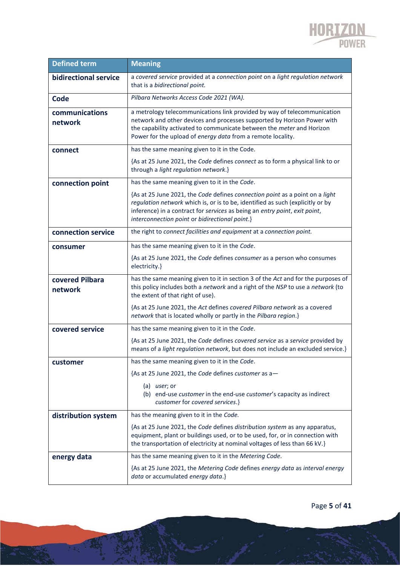

| <b>Defined term</b>        | <b>Meaning</b>                                                                                                                                                                                                                                                                                 |
|----------------------------|------------------------------------------------------------------------------------------------------------------------------------------------------------------------------------------------------------------------------------------------------------------------------------------------|
| bidirectional service      | a covered service provided at a connection point on a light regulation network<br>that is a bidirectional point.                                                                                                                                                                               |
| Code                       | Pilbara Networks Access Code 2021 (WA).                                                                                                                                                                                                                                                        |
| communications<br>network  | a metrology telecommunications link provided by way of telecommunication<br>network and other devices and processes supported by Horizon Power with<br>the capability activated to communicate between the meter and Horizon<br>Power for the upload of energy data from a remote locality.    |
| connect                    | has the same meaning given to it in the Code.                                                                                                                                                                                                                                                  |
|                            | {As at 25 June 2021, the Code defines connect as to form a physical link to or<br>through a light regulation network.}                                                                                                                                                                         |
| connection point           | has the same meaning given to it in the Code.                                                                                                                                                                                                                                                  |
|                            | {As at 25 June 2021, the Code defines connection point as a point on a light<br>regulation network which is, or is to be, identified as such (explicitly or by<br>inference) in a contract for services as being an entry point, exit point,<br>interconnection point or bidirectional point.} |
| connection service         | the right to connect facilities and equipment at a connection point.                                                                                                                                                                                                                           |
| consumer                   | has the same meaning given to it in the Code.                                                                                                                                                                                                                                                  |
|                            | {As at 25 June 2021, the Code defines consumer as a person who consumes<br>electricity.}                                                                                                                                                                                                       |
| covered Pilbara<br>network | has the same meaning given to it in section 3 of the Act and for the purposes of<br>this policy includes both a network and a right of the NSP to use a network (to<br>the extent of that right of use).                                                                                       |
|                            | {As at 25 June 2021, the Act defines covered Pilbara network as a covered<br>network that is located wholly or partly in the Pilbara region.}                                                                                                                                                  |
| covered service            | has the same meaning given to it in the Code.                                                                                                                                                                                                                                                  |
|                            | {As at 25 June 2021, the Code defines covered service as a service provided by<br>means of a light regulation network, but does not include an excluded service.}                                                                                                                              |
| customer                   | has the same meaning given to it in the Code.                                                                                                                                                                                                                                                  |
|                            | {As at 25 June 2021, the Code defines customer as a-                                                                                                                                                                                                                                           |
|                            | $(a)$ <i>user</i> ; or<br>(b) end-use customer in the end-use customer's capacity as indirect<br>customer for covered services.}                                                                                                                                                               |
| distribution system        | has the meaning given to it in the Code.                                                                                                                                                                                                                                                       |
|                            | {As at 25 June 2021, the Code defines distribution system as any apparatus,<br>equipment, plant or buildings used, or to be used, for, or in connection with<br>the transportation of electricity at nominal voltages of less than 66 kV.}                                                     |
| energy data                | has the same meaning given to it in the Metering Code.                                                                                                                                                                                                                                         |
|                            | {As at 25 June 2021, the Metering Code defines energy data as interval energy<br>data or accumulated energy data.}                                                                                                                                                                             |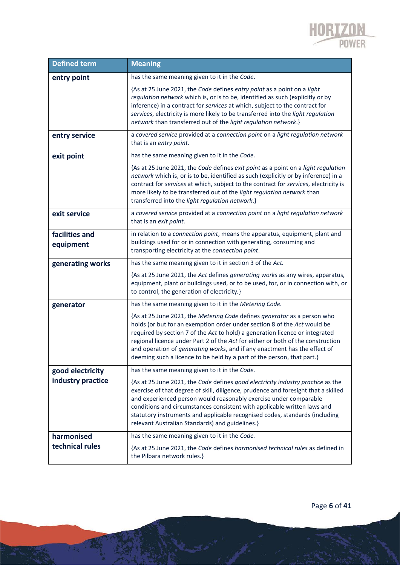

| <b>Defined term</b>         | <b>Meaning</b>                                                                                                                                                                                                                                                                                                                                                                                                                                                                 |
|-----------------------------|--------------------------------------------------------------------------------------------------------------------------------------------------------------------------------------------------------------------------------------------------------------------------------------------------------------------------------------------------------------------------------------------------------------------------------------------------------------------------------|
| entry point                 | has the same meaning given to it in the Code.                                                                                                                                                                                                                                                                                                                                                                                                                                  |
|                             | {As at 25 June 2021, the Code defines entry point as a point on a light<br>regulation network which is, or is to be, identified as such (explicitly or by<br>inference) in a contract for services at which, subject to the contract for<br>services, electricity is more likely to be transferred into the light regulation<br>network than transferred out of the light regulation network.}                                                                                 |
| entry service               | a covered service provided at a connection point on a light regulation network<br>that is an entry point.                                                                                                                                                                                                                                                                                                                                                                      |
| exit point                  | has the same meaning given to it in the Code.                                                                                                                                                                                                                                                                                                                                                                                                                                  |
|                             | {As at 25 June 2021, the Code defines exit point as a point on a light regulation<br>network which is, or is to be, identified as such (explicitly or by inference) in a<br>contract for services at which, subject to the contract for services, electricity is<br>more likely to be transferred out of the light regulation network than<br>transferred into the light regulation network.}                                                                                  |
| exit service                | a covered service provided at a connection point on a light regulation network<br>that is an exit point.                                                                                                                                                                                                                                                                                                                                                                       |
| facilities and<br>equipment | in relation to a connection point, means the apparatus, equipment, plant and<br>buildings used for or in connection with generating, consuming and<br>transporting electricity at the connection point.                                                                                                                                                                                                                                                                        |
| generating works            | has the same meaning given to it in section 3 of the Act.                                                                                                                                                                                                                                                                                                                                                                                                                      |
|                             | {As at 25 June 2021, the Act defines generating works as any wires, apparatus,<br>equipment, plant or buildings used, or to be used, for, or in connection with, or<br>to control, the generation of electricity.}                                                                                                                                                                                                                                                             |
| generator                   | has the same meaning given to it in the Metering Code.                                                                                                                                                                                                                                                                                                                                                                                                                         |
|                             | {As at 25 June 2021, the Metering Code defines generator as a person who<br>holds (or but for an exemption order under section 8 of the Act would be<br>required by section 7 of the Act to hold) a generation licence or integrated<br>regional licence under Part 2 of the Act for either or both of the construction<br>and operation of generating works, and if any enactment has the effect of<br>deeming such a licence to be held by a part of the person, that part.} |
| good electricity            | has the same meaning given to it in the Code.                                                                                                                                                                                                                                                                                                                                                                                                                                  |
| industry practice           | {As at 25 June 2021, the Code defines good electricity industry practice as the<br>exercise of that degree of skill, diligence, prudence and foresight that a skilled<br>and experienced person would reasonably exercise under comparable<br>conditions and circumstances consistent with applicable written laws and<br>statutory instruments and applicable recognised codes, standards (including<br>relevant Australian Standards) and guidelines.}                       |
| harmonised                  | has the same meaning given to it in the Code.                                                                                                                                                                                                                                                                                                                                                                                                                                  |
| technical rules             | {As at 25 June 2021, the Code defines harmonised technical rules as defined in<br>the Pilbara network rules.}                                                                                                                                                                                                                                                                                                                                                                  |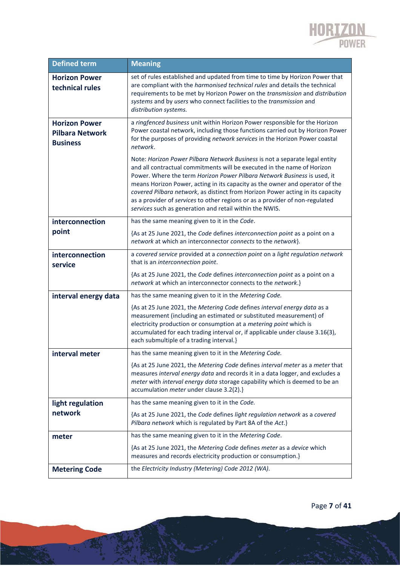

| <b>Defined term</b>                                               | <b>Meaning</b>                                                                                                                                                                                                                                                                                                                                                                                                                                                                                                                                  |
|-------------------------------------------------------------------|-------------------------------------------------------------------------------------------------------------------------------------------------------------------------------------------------------------------------------------------------------------------------------------------------------------------------------------------------------------------------------------------------------------------------------------------------------------------------------------------------------------------------------------------------|
| <b>Horizon Power</b><br>technical rules                           | set of rules established and updated from time to time by Horizon Power that<br>are compliant with the <i>harmonised technical rules</i> and details the technical<br>requirements to be met by Horizon Power on the transmission and distribution<br>systems and by users who connect facilities to the transmission and<br>distribution systems.                                                                                                                                                                                              |
| <b>Horizon Power</b><br><b>Pilbara Network</b><br><b>Business</b> | a ringfenced business unit within Horizon Power responsible for the Horizon<br>Power coastal network, including those functions carried out by Horizon Power<br>for the purposes of providing network services in the Horizon Power coastal<br>network.                                                                                                                                                                                                                                                                                         |
|                                                                   | Note: Horizon Power Pilbara Network Business is not a separate legal entity<br>and all contractual commitments will be executed in the name of Horizon<br>Power. Where the term Horizon Power Pilbara Network Business is used, it<br>means Horizon Power, acting in its capacity as the owner and operator of the<br>covered Pilbara network, as distinct from Horizon Power acting in its capacity<br>as a provider of services to other regions or as a provider of non-regulated<br>services such as generation and retail within the NWIS. |
| interconnection                                                   | has the same meaning given to it in the Code.                                                                                                                                                                                                                                                                                                                                                                                                                                                                                                   |
| point                                                             | {As at 25 June 2021, the Code defines interconnection point as a point on a<br>network at which an interconnector connects to the network}.                                                                                                                                                                                                                                                                                                                                                                                                     |
| interconnection<br>service                                        | a covered service provided at a connection point on a light regulation network<br>that is an interconnection point.                                                                                                                                                                                                                                                                                                                                                                                                                             |
|                                                                   | {As at 25 June 2021, the Code defines interconnection point as a point on a<br>network at which an interconnector connects to the network.}                                                                                                                                                                                                                                                                                                                                                                                                     |
| interval energy data                                              | has the same meaning given to it in the Metering Code.                                                                                                                                                                                                                                                                                                                                                                                                                                                                                          |
|                                                                   | {As at 25 June 2021, the Metering Code defines interval energy data as a<br>measurement (including an estimated or substituted measurement) of<br>electricity production or consumption at a metering point which is<br>accumulated for each trading interval or, if applicable under clause 3.16(3),<br>each submultiple of a trading interval.}                                                                                                                                                                                               |
| interval meter                                                    | has the same meaning given to it in the Metering Code.                                                                                                                                                                                                                                                                                                                                                                                                                                                                                          |
|                                                                   | {As at 25 June 2021, the Metering Code defines interval meter as a meter that<br>measures interval energy data and records it in a data logger, and excludes a<br>meter with interval energy data storage capability which is deemed to be an<br>accumulation meter under clause 3.2(2).}                                                                                                                                                                                                                                                       |
| light regulation                                                  | has the same meaning given to it in the Code.                                                                                                                                                                                                                                                                                                                                                                                                                                                                                                   |
| network                                                           | {As at 25 June 2021, the Code defines light regulation network as a covered<br>Pilbara network which is regulated by Part 8A of the Act.}                                                                                                                                                                                                                                                                                                                                                                                                       |
| meter                                                             | has the same meaning given to it in the Metering Code.                                                                                                                                                                                                                                                                                                                                                                                                                                                                                          |
|                                                                   | {As at 25 June 2021, the Metering Code defines meter as a device which<br>measures and records electricity production or consumption.}                                                                                                                                                                                                                                                                                                                                                                                                          |
| <b>Metering Code</b>                                              | the Electricity Industry (Metering) Code 2012 (WA).                                                                                                                                                                                                                                                                                                                                                                                                                                                                                             |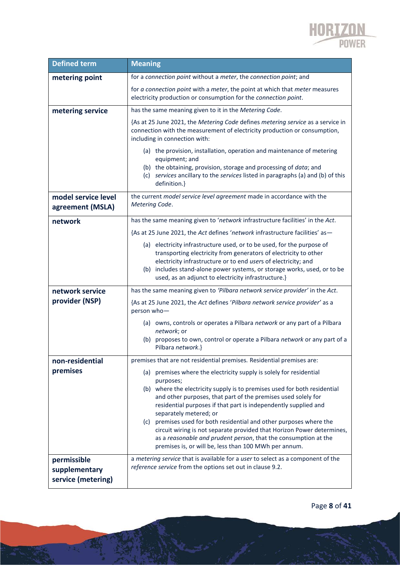

| <b>Defined term</b>                                | <b>Meaning</b>                                                                                                                                                                                                                                                                                                                                                                                                                                                                                                                                                                                           |
|----------------------------------------------------|----------------------------------------------------------------------------------------------------------------------------------------------------------------------------------------------------------------------------------------------------------------------------------------------------------------------------------------------------------------------------------------------------------------------------------------------------------------------------------------------------------------------------------------------------------------------------------------------------------|
| metering point                                     | for a connection point without a meter, the connection point; and                                                                                                                                                                                                                                                                                                                                                                                                                                                                                                                                        |
|                                                    | for a connection point with a meter, the point at which that meter measures<br>electricity production or consumption for the connection point.                                                                                                                                                                                                                                                                                                                                                                                                                                                           |
| metering service                                   | has the same meaning given to it in the Metering Code.                                                                                                                                                                                                                                                                                                                                                                                                                                                                                                                                                   |
|                                                    | {As at 25 June 2021, the Metering Code defines metering service as a service in<br>connection with the measurement of electricity production or consumption,<br>including in connection with:                                                                                                                                                                                                                                                                                                                                                                                                            |
|                                                    | (a) the provision, installation, operation and maintenance of metering<br>equipment; and<br>(b) the obtaining, provision, storage and processing of data; and<br>(c) services ancillary to the services listed in paragraphs (a) and (b) of this<br>definition.}                                                                                                                                                                                                                                                                                                                                         |
| model service level<br>agreement (MSLA)            | the current model service level agreement made in accordance with the<br>Metering Code.                                                                                                                                                                                                                                                                                                                                                                                                                                                                                                                  |
| network                                            | has the same meaning given to 'network infrastructure facilities' in the Act.                                                                                                                                                                                                                                                                                                                                                                                                                                                                                                                            |
|                                                    | {As at 25 June 2021, the Act defines 'network infrastructure facilities' as-                                                                                                                                                                                                                                                                                                                                                                                                                                                                                                                             |
|                                                    | (a) electricity infrastructure used, or to be used, for the purpose of<br>transporting electricity from generators of electricity to other<br>electricity infrastructure or to end users of electricity; and<br>(b) includes stand-alone power systems, or storage works, used, or to be<br>used, as an adjunct to electricity infrastructure.}                                                                                                                                                                                                                                                          |
| network service                                    | has the same meaning given to 'Pilbara network service provider' in the Act.                                                                                                                                                                                                                                                                                                                                                                                                                                                                                                                             |
| provider (NSP)                                     | {As at 25 June 2021, the Act defines 'Pilbara network service provider' as a<br>person who-                                                                                                                                                                                                                                                                                                                                                                                                                                                                                                              |
|                                                    | (a) owns, controls or operates a Pilbara network or any part of a Pilbara<br>network; or                                                                                                                                                                                                                                                                                                                                                                                                                                                                                                                 |
|                                                    | (b) proposes to own, control or operate a Pilbara network or any part of a<br>Pilbara network.}                                                                                                                                                                                                                                                                                                                                                                                                                                                                                                          |
| non-residential                                    | premises that are not residential premises. Residential premises are:                                                                                                                                                                                                                                                                                                                                                                                                                                                                                                                                    |
| premises                                           | (a) premises where the electricity supply is solely for residential<br>purposes;<br>(b) where the electricity supply is to premises used for both residential<br>and other purposes, that part of the premises used solely for<br>residential purposes if that part is independently supplied and<br>separately metered; or<br>(c) premises used for both residential and other purposes where the<br>circuit wiring is not separate provided that Horizon Power determines,<br>as a reasonable and prudent person, that the consumption at the<br>premises is, or will be, less than 100 MWh per annum. |
| permissible<br>supplementary<br>service (metering) | a metering service that is available for a user to select as a component of the<br>reference service from the options set out in clause 9.2.                                                                                                                                                                                                                                                                                                                                                                                                                                                             |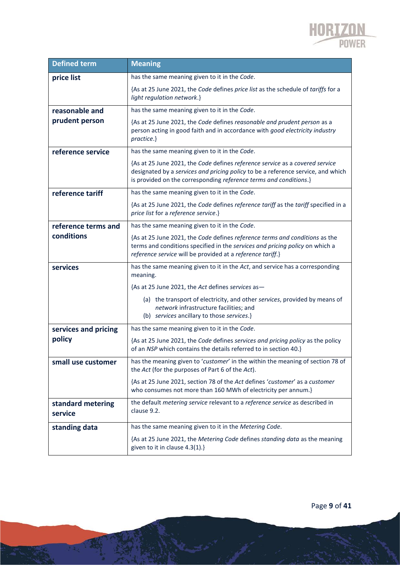

| <b>Defined term</b>          | <b>Meaning</b>                                                                                                                                                                                                                        |
|------------------------------|---------------------------------------------------------------------------------------------------------------------------------------------------------------------------------------------------------------------------------------|
| price list                   | has the same meaning given to it in the Code.                                                                                                                                                                                         |
|                              | {As at 25 June 2021, the Code defines price list as the schedule of tariffs for a<br>light regulation network.}                                                                                                                       |
| reasonable and               | has the same meaning given to it in the Code.                                                                                                                                                                                         |
| prudent person               | {As at 25 June 2021, the Code defines reasonable and prudent person as a<br>person acting in good faith and in accordance with good electricity industry<br>practice.}                                                                |
| reference service            | has the same meaning given to it in the Code.                                                                                                                                                                                         |
|                              | {As at 25 June 2021, the Code defines reference service as a covered service<br>designated by a services and pricing policy to be a reference service, and which<br>is provided on the corresponding reference terms and conditions.} |
| reference tariff             | has the same meaning given to it in the Code.                                                                                                                                                                                         |
|                              | {As at 25 June 2021, the Code defines reference tariff as the tariff specified in a<br>price list for a reference service.}                                                                                                           |
| reference terms and          | has the same meaning given to it in the Code.                                                                                                                                                                                         |
| conditions                   | {As at 25 June 2021, the Code defines reference terms and conditions as the<br>terms and conditions specified in the services and pricing policy on which a<br>reference service will be provided at a reference tariff.}             |
| services                     | has the same meaning given to it in the Act, and service has a corresponding<br>meaning.                                                                                                                                              |
|                              | {As at 25 June 2021, the Act defines services as-                                                                                                                                                                                     |
|                              | (a) the transport of electricity, and other services, provided by means of<br>network infrastructure facilities; and<br>(b) services ancillary to those services.}                                                                    |
| services and pricing         | has the same meaning given to it in the Code.                                                                                                                                                                                         |
| policy                       | {As at 25 June 2021, the Code defines services and pricing policy as the policy<br>of an NSP which contains the details referred to in section 40.}                                                                                   |
| small use customer           | has the meaning given to 'customer' in the within the meaning of section 78 of<br>the Act (for the purposes of Part 6 of the Act).                                                                                                    |
|                              | {As at 25 June 2021, section 78 of the Act defines 'customer' as a customer<br>who consumes not more than 160 MWh of electricity per annum.}                                                                                          |
| standard metering<br>service | the default metering service relevant to a reference service as described in<br>clause 9.2.                                                                                                                                           |
| standing data                | has the same meaning given to it in the Metering Code.                                                                                                                                                                                |
|                              | {As at 25 June 2021, the Metering Code defines standing data as the meaning<br>given to it in clause 4.3(1).}                                                                                                                         |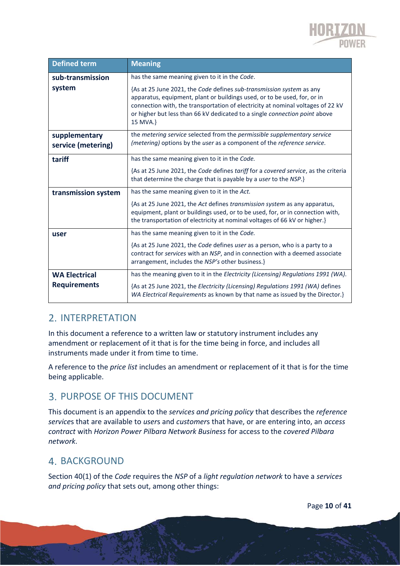

| <b>Defined term</b>                 | <b>Meaning</b>                                                                                                                                                                                                                                                                                                                |
|-------------------------------------|-------------------------------------------------------------------------------------------------------------------------------------------------------------------------------------------------------------------------------------------------------------------------------------------------------------------------------|
| sub-transmission                    | has the same meaning given to it in the Code.                                                                                                                                                                                                                                                                                 |
| system                              | {As at 25 June 2021, the Code defines sub-transmission system as any<br>apparatus, equipment, plant or buildings used, or to be used, for, or in<br>connection with, the transportation of electricity at nominal voltages of 22 kV<br>or higher but less than 66 kV dedicated to a single connection point above<br>15 MVA.} |
| supplementary<br>service (metering) | the metering service selected from the permissible supplementary service<br>(metering) options by the user as a component of the reference service.                                                                                                                                                                           |
| tariff                              | has the same meaning given to it in the Code.                                                                                                                                                                                                                                                                                 |
|                                     | {As at 25 June 2021, the Code defines tariff for a covered service, as the criteria<br>that determine the charge that is payable by a user to the NSP.}                                                                                                                                                                       |
| transmission system                 | has the same meaning given to it in the Act.                                                                                                                                                                                                                                                                                  |
|                                     | {As at 25 June 2021, the Act defines transmission system as any apparatus,<br>equipment, plant or buildings used, or to be used, for, or in connection with,<br>the transportation of electricity at nominal voltages of 66 kV or higher.}                                                                                    |
| user                                | has the same meaning given to it in the Code.                                                                                                                                                                                                                                                                                 |
|                                     | {As at 25 June 2021, the Code defines user as a person, who is a party to a<br>contract for services with an NSP, and in connection with a deemed associate<br>arrangement, includes the NSP's other business.}                                                                                                               |
| <b>WA Electrical</b>                | has the meaning given to it in the Electricity (Licensing) Regulations 1991 (WA).                                                                                                                                                                                                                                             |
| <b>Requirements</b>                 | {As at 25 June 2021, the Electricity (Licensing) Regulations 1991 (WA) defines<br>WA Electrical Requirements as known by that name as issued by the Director.}                                                                                                                                                                |

### 2. INTERPRETATION

In this document a reference to a written law or statutory instrument includes any amendment or replacement of it that is for the time being in force, and includes all instruments made under it from time to time.

A reference to the *price list* includes an amendment or replacement of it that is for the time being applicable.

### PURPOSE OF THIS DOCUMENT

This document is an appendix to the *services and pricing policy* that describes the *reference service*s that are available to *user*s and *customer*s that have, or are entering into, an *access contract* with *Horizon Power Pilbara Network Business* for access to the *covered Pilbara network*.

### **4. BACKGROUND**

Section 40(1) of the *Code* requires the *NSP* of a *light regulation network* to have a *services and pricing policy* that sets out, among other things: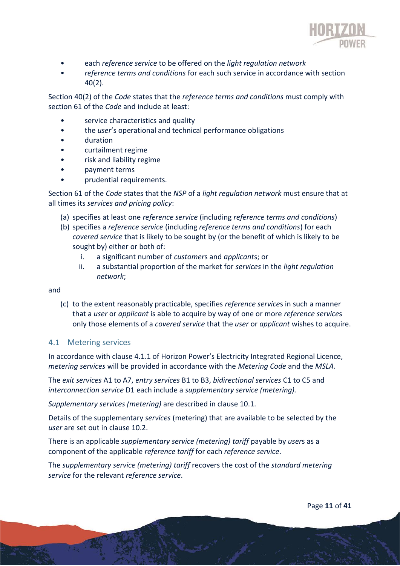

- each *reference service* to be offered on the *light regulation network*
- *reference terms and conditions* for each such service in accordance with section 40(2).

Section 40(2) of the *Code* states that the *reference terms and conditions* must comply with section 61 of the *Code* and include at least:

- service characteristics and quality
- the *user*'s operational and technical performance obligations
- duration
- curtailment regime
- risk and liability regime
- payment terms
- prudential requirements.

Section 61 of the *Code* states that the *NSP* of a *light regulation network* must ensure that at all times its *services and pricing policy*:

- (a) specifies at least one *reference service* (including *reference terms and conditions*)
- (b) specifies a *reference service* (including *reference terms and conditions*) for each *covered service* that is likely to be sought by (or the benefit of which is likely to be sought by) either or both of:
	- i. a significant number of *customer*s and *applicant*s; or
	- ii. a substantial proportion of the market for *services* in the *light regulation network*;

and

(c) to the extent reasonably practicable, specifies *reference service*s in such a manner that a *user* or *applicant* is able to acquire by way of one or more *reference service*s only those elements of a *covered service* that the *user* or *applicant* wishes to acquire.

#### 4.1 Metering services

In accordance with clause 4.1.1 of Horizon Power's Electricity Integrated Regional Licence, *metering services* will be provided in accordance with the *Metering Code* and the *MSLA*.

The *exit services* A1 to A7, *entry services* B1 to B3, *bidirectional services* C1 to C5 and *interconnection service* D1 each include a *supplementary service (metering).*

*Supplementary services (metering)* are described in clause 10.1.

Details of the supplementary *services* (metering) that are available to be selected by the *user* are set out in clause 10.2.

There is an applicable *supplementary service (metering) tariff* payable by *user*s as a component of the applicable *reference tariff* for each *reference service*.

The *supplementary service (metering) tariff* recovers the cost of the *standard metering service* for the relevant *reference service*.

Page **11** of **41**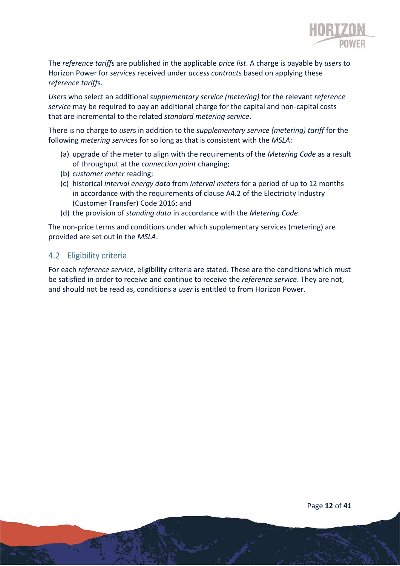

The *reference tariff*s are published in the applicable *price list*. A charge is payable by *user*s to Horizon Power for *services* received under *access contract*s based on applying these *reference tariff*s.

*User*s who select an additional *supplementary service (metering)* for the relevant *reference service* may be required to pay an additional charge for the capital and non-capital costs that are incremental to the related *standard metering service*.

There is no charge to *user*s in addition to the *supplementary service (metering) tariff* for the following *metering service*s for so long as that is consistent with the *MSLA*:

- (a) upgrade of the meter to align with the requirements of the *Metering Code* as a result of throughput at the *connection point* changing;
- (b) *customer meter* reading;
- (c) historical *interval energy data* from *interval meters* for a period of up to 12 months in accordance with the requirements of clause A4.2 of the Electricity Industry (Customer Transfer) Code 2016; and
- (d) the provision of *standing data* in accordance with the *Metering Code*.

The non-price terms and conditions under which supplementary services (metering) are provided are set out in the *MSLA*.

#### 4.2 Eligibility criteria

For each *reference service*, eligibility criteria are stated. These are the conditions which must be satisfied in order to receive and continue to receive the *reference service*. They are not, and should not be read as, conditions a *user* is entitled to from Horizon Power.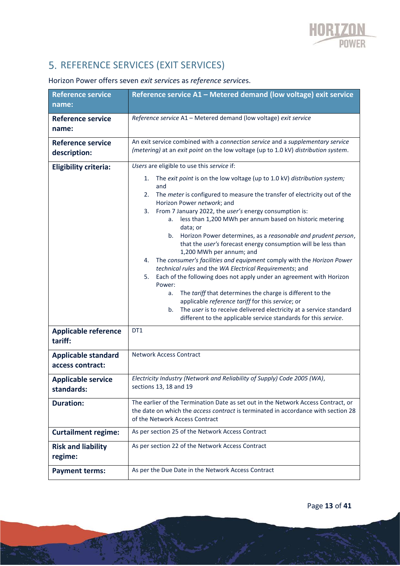# 5. REFERENCE SERVICES (EXIT SERVICES)

### Horizon Power offers seven *exit service*s as *reference service*s.

| <b>Reference service</b><br>name:              | Reference service A1 - Metered demand (low voltage) exit service                                                                                                                                                                                                                                                                                                                                                                                                                                                                                                                                                                                                                                                                                                                                                                                                                                                                                                                                                                 |
|------------------------------------------------|----------------------------------------------------------------------------------------------------------------------------------------------------------------------------------------------------------------------------------------------------------------------------------------------------------------------------------------------------------------------------------------------------------------------------------------------------------------------------------------------------------------------------------------------------------------------------------------------------------------------------------------------------------------------------------------------------------------------------------------------------------------------------------------------------------------------------------------------------------------------------------------------------------------------------------------------------------------------------------------------------------------------------------|
|                                                |                                                                                                                                                                                                                                                                                                                                                                                                                                                                                                                                                                                                                                                                                                                                                                                                                                                                                                                                                                                                                                  |
| <b>Reference service</b><br>name:              | Reference service A1 - Metered demand (low voltage) exit service                                                                                                                                                                                                                                                                                                                                                                                                                                                                                                                                                                                                                                                                                                                                                                                                                                                                                                                                                                 |
| <b>Reference service</b><br>description:       | An exit service combined with a connection service and a supplementary service<br>(metering) at an exit point on the low voltage (up to 1.0 kV) distribution system.                                                                                                                                                                                                                                                                                                                                                                                                                                                                                                                                                                                                                                                                                                                                                                                                                                                             |
| <b>Eligibility criteria:</b>                   | Users are eligible to use this service if:                                                                                                                                                                                                                                                                                                                                                                                                                                                                                                                                                                                                                                                                                                                                                                                                                                                                                                                                                                                       |
|                                                | The exit point is on the low voltage (up to 1.0 kV) distribution system;<br>1.<br>and<br>The meter is configured to measure the transfer of electricity out of the<br>2.<br>Horizon Power network; and<br>From 7 January 2022, the user's energy consumption is:<br>3.<br>less than 1,200 MWh per annum based on historic metering<br>а.<br>data; or<br>Horizon Power determines, as a reasonable and prudent person,<br>b.<br>that the user's forecast energy consumption will be less than<br>1,200 MWh per annum; and<br>The consumer's facilities and equipment comply with the Horizon Power<br>4.<br>technical rules and the WA Electrical Requirements; and<br>Each of the following does not apply under an agreement with Horizon<br>5.<br>Power:<br>The tariff that determines the charge is different to the<br>a.<br>applicable reference tariff for this service; or<br>The user is to receive delivered electricity at a service standard<br>b.<br>different to the applicable service standards for this service. |
| <b>Applicable reference</b><br>tariff:         | DT1                                                                                                                                                                                                                                                                                                                                                                                                                                                                                                                                                                                                                                                                                                                                                                                                                                                                                                                                                                                                                              |
| <b>Applicable standard</b><br>access contract: | <b>Network Access Contract</b>                                                                                                                                                                                                                                                                                                                                                                                                                                                                                                                                                                                                                                                                                                                                                                                                                                                                                                                                                                                                   |
| <b>Applicable service</b><br>standards:        | Electricity Industry (Network and Reliability of Supply) Code 2005 (WA),<br>sections 13, 18 and 19                                                                                                                                                                                                                                                                                                                                                                                                                                                                                                                                                                                                                                                                                                                                                                                                                                                                                                                               |
| <b>Duration:</b>                               | The earlier of the Termination Date as set out in the Network Access Contract, or<br>the date on which the <i>access contract</i> is terminated in accordance with section 28<br>of the Network Access Contract                                                                                                                                                                                                                                                                                                                                                                                                                                                                                                                                                                                                                                                                                                                                                                                                                  |
| <b>Curtailment regime:</b>                     | As per section 25 of the Network Access Contract                                                                                                                                                                                                                                                                                                                                                                                                                                                                                                                                                                                                                                                                                                                                                                                                                                                                                                                                                                                 |
| <b>Risk and liability</b><br>regime:           | As per section 22 of the Network Access Contract                                                                                                                                                                                                                                                                                                                                                                                                                                                                                                                                                                                                                                                                                                                                                                                                                                                                                                                                                                                 |
| <b>Payment terms:</b>                          | As per the Due Date in the Network Access Contract                                                                                                                                                                                                                                                                                                                                                                                                                                                                                                                                                                                                                                                                                                                                                                                                                                                                                                                                                                               |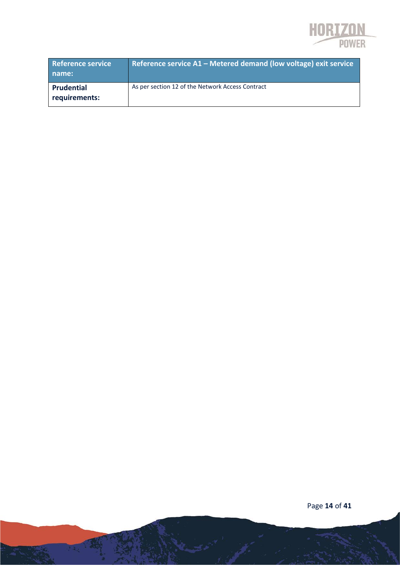

| <b>Reference service</b><br>name: | Reference service A1 - Metered demand (low voltage) exit service |
|-----------------------------------|------------------------------------------------------------------|
| Prudential<br>requirements:       | As per section 12 of the Network Access Contract                 |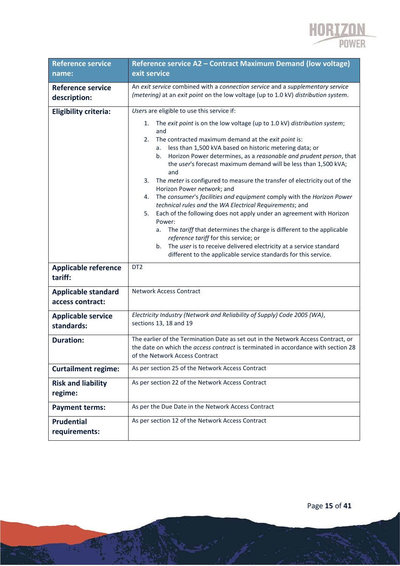

| <b>Reference service</b>                       | Reference service A2 - Contract Maximum Demand (low voltage)                                                                                                                                                                                                                                                                                                                                                                                                                                                                                                                                                                                                                                                                                                                                                                                                                                                                                                                                       |
|------------------------------------------------|----------------------------------------------------------------------------------------------------------------------------------------------------------------------------------------------------------------------------------------------------------------------------------------------------------------------------------------------------------------------------------------------------------------------------------------------------------------------------------------------------------------------------------------------------------------------------------------------------------------------------------------------------------------------------------------------------------------------------------------------------------------------------------------------------------------------------------------------------------------------------------------------------------------------------------------------------------------------------------------------------|
| name:                                          | exit service                                                                                                                                                                                                                                                                                                                                                                                                                                                                                                                                                                                                                                                                                                                                                                                                                                                                                                                                                                                       |
| <b>Reference service</b><br>description:       | An exit service combined with a connection service and a supplementary service<br>(metering) at an exit point on the low voltage (up to 1.0 kV) distribution system.                                                                                                                                                                                                                                                                                                                                                                                                                                                                                                                                                                                                                                                                                                                                                                                                                               |
| <b>Eligibility criteria:</b>                   | Users are eligible to use this service if:                                                                                                                                                                                                                                                                                                                                                                                                                                                                                                                                                                                                                                                                                                                                                                                                                                                                                                                                                         |
|                                                | The exit point is on the low voltage (up to 1.0 kV) distribution system;<br>1.<br>and<br>The contracted maximum demand at the exit point is:<br>2.<br>less than 1,500 kVA based on historic metering data; or<br>a.<br>Horizon Power determines, as a reasonable and prudent person, that<br>b.<br>the user's forecast maximum demand will be less than 1,500 kVA;<br>and<br>The meter is configured to measure the transfer of electricity out of the<br>3.<br>Horizon Power network; and<br>The consumer's facilities and equipment comply with the Horizon Power<br>4.<br>technical rules and the WA Electrical Requirements; and<br>Each of the following does not apply under an agreement with Horizon<br>5.<br>Power:<br>The tariff that determines the charge is different to the applicable<br>а.<br>reference tariff for this service; or<br>The user is to receive delivered electricity at a service standard<br>b.<br>different to the applicable service standards for this service. |
| <b>Applicable reference</b><br>tariff:         | DT <sub>2</sub>                                                                                                                                                                                                                                                                                                                                                                                                                                                                                                                                                                                                                                                                                                                                                                                                                                                                                                                                                                                    |
| <b>Applicable standard</b><br>access contract: | <b>Network Access Contract</b>                                                                                                                                                                                                                                                                                                                                                                                                                                                                                                                                                                                                                                                                                                                                                                                                                                                                                                                                                                     |
| <b>Applicable service</b><br>standards:        | Electricity Industry (Network and Reliability of Supply) Code 2005 (WA),<br>sections 13, 18 and 19                                                                                                                                                                                                                                                                                                                                                                                                                                                                                                                                                                                                                                                                                                                                                                                                                                                                                                 |
| <b>Duration:</b>                               | The earlier of the Termination Date as set out in the Network Access Contract, or<br>the date on which the <i>access contract</i> is terminated in accordance with section 28<br>of the Network Access Contract                                                                                                                                                                                                                                                                                                                                                                                                                                                                                                                                                                                                                                                                                                                                                                                    |
| <b>Curtailment regime:</b>                     | As per section 25 of the Network Access Contract                                                                                                                                                                                                                                                                                                                                                                                                                                                                                                                                                                                                                                                                                                                                                                                                                                                                                                                                                   |
| <b>Risk and liability</b><br>regime:           | As per section 22 of the Network Access Contract                                                                                                                                                                                                                                                                                                                                                                                                                                                                                                                                                                                                                                                                                                                                                                                                                                                                                                                                                   |
| <b>Payment terms:</b>                          | As per the Due Date in the Network Access Contract                                                                                                                                                                                                                                                                                                                                                                                                                                                                                                                                                                                                                                                                                                                                                                                                                                                                                                                                                 |
| <b>Prudential</b><br>requirements:             | As per section 12 of the Network Access Contract                                                                                                                                                                                                                                                                                                                                                                                                                                                                                                                                                                                                                                                                                                                                                                                                                                                                                                                                                   |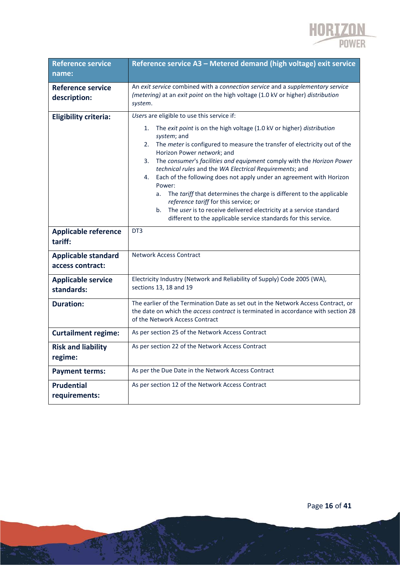

| <b>Reference service</b><br>name:              | Reference service A3 - Metered demand (high voltage) exit service                                                                                                                                                                                                                                                                                                                                                                                                                                                                                                                                                                                                                                                   |
|------------------------------------------------|---------------------------------------------------------------------------------------------------------------------------------------------------------------------------------------------------------------------------------------------------------------------------------------------------------------------------------------------------------------------------------------------------------------------------------------------------------------------------------------------------------------------------------------------------------------------------------------------------------------------------------------------------------------------------------------------------------------------|
| <b>Reference service</b><br>description:       | An exit service combined with a connection service and a supplementary service<br>(metering) at an exit point on the high voltage (1.0 kV or higher) distribution<br>system.                                                                                                                                                                                                                                                                                                                                                                                                                                                                                                                                        |
| <b>Eligibility criteria:</b>                   | Users are eligible to use this service if:                                                                                                                                                                                                                                                                                                                                                                                                                                                                                                                                                                                                                                                                          |
|                                                | The exit point is on the high voltage (1.0 kV or higher) distribution<br>1.<br>system; and<br>The meter is configured to measure the transfer of electricity out of the<br>2.<br>Horizon Power network; and<br>The consumer's facilities and equipment comply with the Horizon Power<br>3.<br>technical rules and the WA Electrical Requirements; and<br>Each of the following does not apply under an agreement with Horizon<br>4.<br>Power:<br>The tariff that determines the charge is different to the applicable<br>a.<br>reference tariff for this service; or<br>The user is to receive delivered electricity at a service standard<br>b.<br>different to the applicable service standards for this service. |
| <b>Applicable reference</b><br>tariff:         | DT <sub>3</sub>                                                                                                                                                                                                                                                                                                                                                                                                                                                                                                                                                                                                                                                                                                     |
| <b>Applicable standard</b><br>access contract: | <b>Network Access Contract</b>                                                                                                                                                                                                                                                                                                                                                                                                                                                                                                                                                                                                                                                                                      |
| <b>Applicable service</b><br>standards:        | Electricity Industry (Network and Reliability of Supply) Code 2005 (WA),<br>sections 13, 18 and 19                                                                                                                                                                                                                                                                                                                                                                                                                                                                                                                                                                                                                  |
| <b>Duration:</b>                               | The earlier of the Termination Date as set out in the Network Access Contract, or<br>the date on which the <i>access contract</i> is terminated in accordance with section 28<br>of the Network Access Contract                                                                                                                                                                                                                                                                                                                                                                                                                                                                                                     |
| <b>Curtailment regime:</b>                     | As per section 25 of the Network Access Contract                                                                                                                                                                                                                                                                                                                                                                                                                                                                                                                                                                                                                                                                    |
| <b>Risk and liability</b><br>regime:           | As per section 22 of the Network Access Contract                                                                                                                                                                                                                                                                                                                                                                                                                                                                                                                                                                                                                                                                    |
| <b>Payment terms:</b>                          | As per the Due Date in the Network Access Contract                                                                                                                                                                                                                                                                                                                                                                                                                                                                                                                                                                                                                                                                  |
| <b>Prudential</b><br>requirements:             | As per section 12 of the Network Access Contract                                                                                                                                                                                                                                                                                                                                                                                                                                                                                                                                                                                                                                                                    |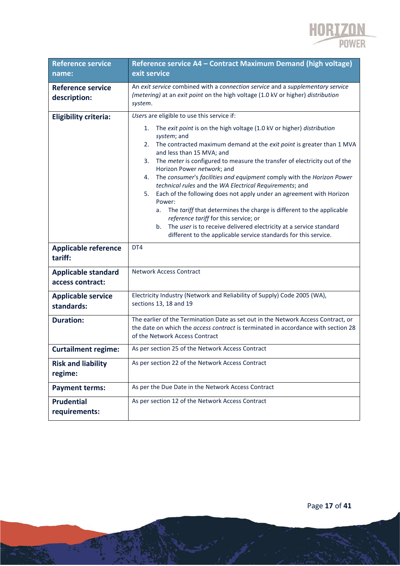

| <b>Reference service</b>                       | Reference service A4 - Contract Maximum Demand (high voltage)                                                                                                                                                                                                                                                                                                                                                                                                                                                                                                                                                                                                                                                                                                                                                                   |
|------------------------------------------------|---------------------------------------------------------------------------------------------------------------------------------------------------------------------------------------------------------------------------------------------------------------------------------------------------------------------------------------------------------------------------------------------------------------------------------------------------------------------------------------------------------------------------------------------------------------------------------------------------------------------------------------------------------------------------------------------------------------------------------------------------------------------------------------------------------------------------------|
| name:                                          | exit service                                                                                                                                                                                                                                                                                                                                                                                                                                                                                                                                                                                                                                                                                                                                                                                                                    |
| <b>Reference service</b><br>description:       | An exit service combined with a connection service and a supplementary service<br>(metering) at an exit point on the high voltage (1.0 kV or higher) distribution<br>system.                                                                                                                                                                                                                                                                                                                                                                                                                                                                                                                                                                                                                                                    |
| <b>Eligibility criteria:</b>                   | Users are eligible to use this service if:                                                                                                                                                                                                                                                                                                                                                                                                                                                                                                                                                                                                                                                                                                                                                                                      |
|                                                | The exit point is on the high voltage (1.0 kV or higher) distribution<br>1.<br>system; and<br>The contracted maximum demand at the exit point is greater than 1 MVA<br>2.<br>and less than 15 MVA; and<br>The meter is configured to measure the transfer of electricity out of the<br>3.<br>Horizon Power network; and<br>The consumer's facilities and equipment comply with the Horizon Power<br>4.<br>technical rules and the WA Electrical Requirements; and<br>Each of the following does not apply under an agreement with Horizon<br>5.<br>Power:<br>The tariff that determines the charge is different to the applicable<br>a.<br>reference tariff for this service; or<br>The user is to receive delivered electricity at a service standard<br>b.<br>different to the applicable service standards for this service. |
| <b>Applicable reference</b><br>tariff:         | DT4                                                                                                                                                                                                                                                                                                                                                                                                                                                                                                                                                                                                                                                                                                                                                                                                                             |
| <b>Applicable standard</b><br>access contract: | <b>Network Access Contract</b>                                                                                                                                                                                                                                                                                                                                                                                                                                                                                                                                                                                                                                                                                                                                                                                                  |
| <b>Applicable service</b><br>standards:        | Electricity Industry (Network and Reliability of Supply) Code 2005 (WA),<br>sections 13, 18 and 19                                                                                                                                                                                                                                                                                                                                                                                                                                                                                                                                                                                                                                                                                                                              |
| <b>Duration:</b>                               | The earlier of the Termination Date as set out in the Network Access Contract, or<br>the date on which the <i>access contract</i> is terminated in accordance with section 28<br>of the Network Access Contract                                                                                                                                                                                                                                                                                                                                                                                                                                                                                                                                                                                                                 |
| <b>Curtailment regime:</b>                     | As per section 25 of the Network Access Contract                                                                                                                                                                                                                                                                                                                                                                                                                                                                                                                                                                                                                                                                                                                                                                                |
| <b>Risk and liability</b><br>regime:           | As per section 22 of the Network Access Contract                                                                                                                                                                                                                                                                                                                                                                                                                                                                                                                                                                                                                                                                                                                                                                                |
| <b>Payment terms:</b>                          | As per the Due Date in the Network Access Contract                                                                                                                                                                                                                                                                                                                                                                                                                                                                                                                                                                                                                                                                                                                                                                              |
| <b>Prudential</b><br>requirements:             | As per section 12 of the Network Access Contract                                                                                                                                                                                                                                                                                                                                                                                                                                                                                                                                                                                                                                                                                                                                                                                |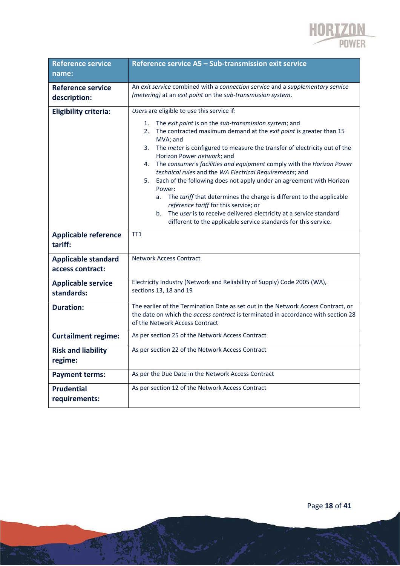

| <b>Reference service</b><br>name:              | Reference service A5 - Sub-transmission exit service                                                                                                                                                                                                                                                                                                                                                                                                                                                                                                                                                                                                                                                                                                                                                                                   |
|------------------------------------------------|----------------------------------------------------------------------------------------------------------------------------------------------------------------------------------------------------------------------------------------------------------------------------------------------------------------------------------------------------------------------------------------------------------------------------------------------------------------------------------------------------------------------------------------------------------------------------------------------------------------------------------------------------------------------------------------------------------------------------------------------------------------------------------------------------------------------------------------|
| <b>Reference service</b><br>description:       | An exit service combined with a connection service and a supplementary service<br>(metering) at an exit point on the sub-transmission system.                                                                                                                                                                                                                                                                                                                                                                                                                                                                                                                                                                                                                                                                                          |
| <b>Eligibility criteria:</b>                   | Users are eligible to use this service if:<br>1.<br>The exit point is on the sub-transmission system; and<br>The contracted maximum demand at the exit point is greater than 15<br>2.<br>MVA; and<br>The meter is configured to measure the transfer of electricity out of the<br>3.<br>Horizon Power network; and<br>The consumer's facilities and equipment comply with the Horizon Power<br>4.<br>technical rules and the WA Electrical Requirements; and<br>5.<br>Each of the following does not apply under an agreement with Horizon<br>Power:<br>The tariff that determines the charge is different to the applicable<br>a.<br>reference tariff for this service; or<br>The user is to receive delivered electricity at a service standard<br>b <sub>1</sub><br>different to the applicable service standards for this service. |
| <b>Applicable reference</b><br>tariff:         | TT <sub>1</sub>                                                                                                                                                                                                                                                                                                                                                                                                                                                                                                                                                                                                                                                                                                                                                                                                                        |
| <b>Applicable standard</b><br>access contract: | <b>Network Access Contract</b>                                                                                                                                                                                                                                                                                                                                                                                                                                                                                                                                                                                                                                                                                                                                                                                                         |
| <b>Applicable service</b><br>standards:        | Electricity Industry (Network and Reliability of Supply) Code 2005 (WA),<br>sections 13, 18 and 19                                                                                                                                                                                                                                                                                                                                                                                                                                                                                                                                                                                                                                                                                                                                     |
| <b>Duration:</b>                               | The earlier of the Termination Date as set out in the Network Access Contract, or<br>the date on which the <i>access contract</i> is terminated in accordance with section 28<br>of the Network Access Contract                                                                                                                                                                                                                                                                                                                                                                                                                                                                                                                                                                                                                        |
| <b>Curtailment regime:</b>                     | As per section 25 of the Network Access Contract                                                                                                                                                                                                                                                                                                                                                                                                                                                                                                                                                                                                                                                                                                                                                                                       |
| <b>Risk and liability</b><br>regime:           | As per section 22 of the Network Access Contract                                                                                                                                                                                                                                                                                                                                                                                                                                                                                                                                                                                                                                                                                                                                                                                       |
| <b>Payment terms:</b>                          | As per the Due Date in the Network Access Contract                                                                                                                                                                                                                                                                                                                                                                                                                                                                                                                                                                                                                                                                                                                                                                                     |
| <b>Prudential</b><br>requirements:             | As per section 12 of the Network Access Contract                                                                                                                                                                                                                                                                                                                                                                                                                                                                                                                                                                                                                                                                                                                                                                                       |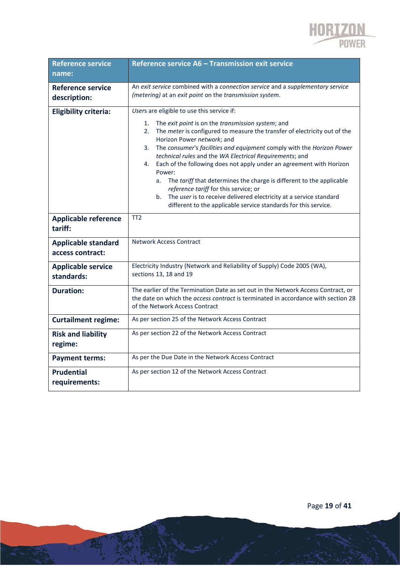

| <b>Reference service</b><br>name:              | Reference service A6 - Transmission exit service                                                                                                                                                                                                                                                                                                                                                                                                                                                                                                                                                                                                                                                                               |
|------------------------------------------------|--------------------------------------------------------------------------------------------------------------------------------------------------------------------------------------------------------------------------------------------------------------------------------------------------------------------------------------------------------------------------------------------------------------------------------------------------------------------------------------------------------------------------------------------------------------------------------------------------------------------------------------------------------------------------------------------------------------------------------|
| <b>Reference service</b><br>description:       | An exit service combined with a connection service and a supplementary service<br>(metering) at an exit point on the transmission system.                                                                                                                                                                                                                                                                                                                                                                                                                                                                                                                                                                                      |
| <b>Eligibility criteria:</b>                   | Users are eligible to use this service if:<br>The exit point is on the transmission system; and<br>1.<br>2.<br>The meter is configured to measure the transfer of electricity out of the<br>Horizon Power network; and<br>The consumer's facilities and equipment comply with the Horizon Power<br>3.<br>technical rules and the WA Electrical Requirements; and<br>Each of the following does not apply under an agreement with Horizon<br>4.<br>Power:<br>The tariff that determines the charge is different to the applicable<br>a.<br>reference tariff for this service; or<br>The user is to receive delivered electricity at a service standard<br>b.<br>different to the applicable service standards for this service. |
| <b>Applicable reference</b><br>tariff:         | TT <sub>2</sub>                                                                                                                                                                                                                                                                                                                                                                                                                                                                                                                                                                                                                                                                                                                |
| <b>Applicable standard</b><br>access contract: | <b>Network Access Contract</b>                                                                                                                                                                                                                                                                                                                                                                                                                                                                                                                                                                                                                                                                                                 |
| <b>Applicable service</b><br>standards:        | Electricity Industry (Network and Reliability of Supply) Code 2005 (WA),<br>sections 13, 18 and 19                                                                                                                                                                                                                                                                                                                                                                                                                                                                                                                                                                                                                             |
| <b>Duration:</b>                               | The earlier of the Termination Date as set out in the Network Access Contract, or<br>the date on which the access contract is terminated in accordance with section 28<br>of the Network Access Contract                                                                                                                                                                                                                                                                                                                                                                                                                                                                                                                       |
| <b>Curtailment regime:</b>                     | As per section 25 of the Network Access Contract                                                                                                                                                                                                                                                                                                                                                                                                                                                                                                                                                                                                                                                                               |
| <b>Risk and liability</b><br>regime:           | As per section 22 of the Network Access Contract                                                                                                                                                                                                                                                                                                                                                                                                                                                                                                                                                                                                                                                                               |
| <b>Payment terms:</b>                          | As per the Due Date in the Network Access Contract                                                                                                                                                                                                                                                                                                                                                                                                                                                                                                                                                                                                                                                                             |
| <b>Prudential</b><br>requirements:             | As per section 12 of the Network Access Contract                                                                                                                                                                                                                                                                                                                                                                                                                                                                                                                                                                                                                                                                               |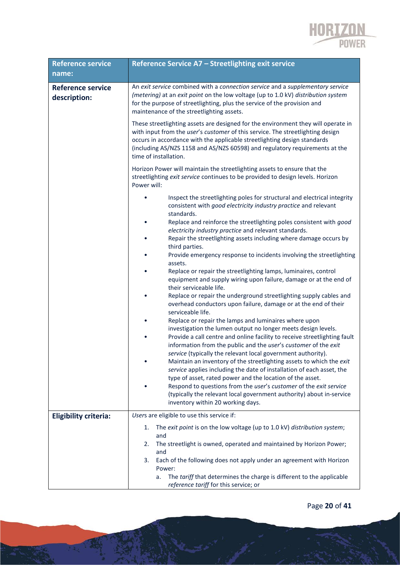

| <b>Reference service</b>                 | Reference Service A7 - Streetlighting exit service                                                                                                                                                                                                                                                                                                      |
|------------------------------------------|---------------------------------------------------------------------------------------------------------------------------------------------------------------------------------------------------------------------------------------------------------------------------------------------------------------------------------------------------------|
| name:                                    |                                                                                                                                                                                                                                                                                                                                                         |
| <b>Reference service</b><br>description: | An exit service combined with a connection service and a supplementary service<br>(metering) at an exit point on the low voltage (up to 1.0 kV) distribution system<br>for the purpose of streetlighting, plus the service of the provision and<br>maintenance of the streetlighting assets.                                                            |
|                                          | These streetlighting assets are designed for the environment they will operate in<br>with input from the user's customer of this service. The streetlighting design<br>occurs in accordance with the applicable streetlighting design standards<br>(including AS/NZS 1158 and AS/NZS 60598) and regulatory requirements at the<br>time of installation. |
|                                          | Horizon Power will maintain the streetlighting assets to ensure that the<br>streetlighting exit service continues to be provided to design levels. Horizon<br>Power will:                                                                                                                                                                               |
|                                          | Inspect the streetlighting poles for structural and electrical integrity<br>consistent with good electricity industry practice and relevant<br>standards.                                                                                                                                                                                               |
|                                          | Replace and reinforce the streetlighting poles consistent with good<br>٠<br>electricity industry practice and relevant standards.                                                                                                                                                                                                                       |
|                                          | Repair the streetlighting assets including where damage occurs by<br>third parties.                                                                                                                                                                                                                                                                     |
|                                          | Provide emergency response to incidents involving the streetlighting<br>assets.                                                                                                                                                                                                                                                                         |
|                                          | Replace or repair the streetlighting lamps, luminaires, control<br>equipment and supply wiring upon failure, damage or at the end of<br>their serviceable life.                                                                                                                                                                                         |
|                                          | Replace or repair the underground streetlighting supply cables and<br>overhead conductors upon failure, damage or at the end of their<br>serviceable life.                                                                                                                                                                                              |
|                                          | Replace or repair the lamps and luminaires where upon<br>investigation the lumen output no longer meets design levels.                                                                                                                                                                                                                                  |
|                                          | Provide a call centre and online facility to receive streetlighting fault<br>information from the public and the user's customer of the exit<br>service (typically the relevant local government authority).                                                                                                                                            |
|                                          | Maintain an inventory of the streetlighting assets to which the exit<br>service applies including the date of installation of each asset, the                                                                                                                                                                                                           |
|                                          | type of asset, rated power and the location of the asset.<br>Respond to questions from the user's customer of the exit service<br>(typically the relevant local government authority) about in-service<br>inventory within 20 working days.                                                                                                             |
| <b>Eligibility criteria:</b>             | Users are eligible to use this service if:                                                                                                                                                                                                                                                                                                              |
|                                          | The exit point is on the low voltage (up to 1.0 kV) distribution system;<br>1.<br>and<br>The streetlight is owned, operated and maintained by Horizon Power;<br>2.                                                                                                                                                                                      |
|                                          | and<br>Each of the following does not apply under an agreement with Horizon<br>3.<br>Power:                                                                                                                                                                                                                                                             |
|                                          | The tariff that determines the charge is different to the applicable<br>a.<br>reference tariff for this service; or                                                                                                                                                                                                                                     |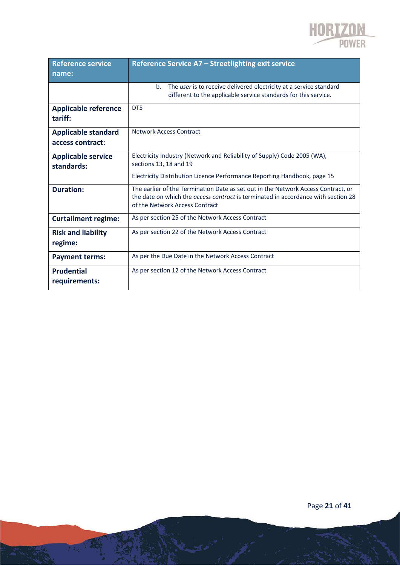

| <b>Reference service</b>               | Reference Service A7 - Streetlighting exit service                                                                                                                                                              |
|----------------------------------------|-----------------------------------------------------------------------------------------------------------------------------------------------------------------------------------------------------------------|
| name:                                  |                                                                                                                                                                                                                 |
|                                        | b.<br>The user is to receive delivered electricity at a service standard<br>different to the applicable service standards for this service.                                                                     |
| <b>Applicable reference</b><br>tariff: | DT5                                                                                                                                                                                                             |
| <b>Applicable standard</b>             | Network Access Contract                                                                                                                                                                                         |
| access contract:                       |                                                                                                                                                                                                                 |
| <b>Applicable service</b>              | Electricity Industry (Network and Reliability of Supply) Code 2005 (WA),                                                                                                                                        |
| standards:                             | sections 13, 18 and 19                                                                                                                                                                                          |
|                                        | Electricity Distribution Licence Performance Reporting Handbook, page 15                                                                                                                                        |
| <b>Duration:</b>                       | The earlier of the Termination Date as set out in the Network Access Contract, or<br>the date on which the <i>access contract</i> is terminated in accordance with section 28<br>of the Network Access Contract |
| <b>Curtailment regime:</b>             | As per section 25 of the Network Access Contract                                                                                                                                                                |
| <b>Risk and liability</b><br>regime:   | As per section 22 of the Network Access Contract                                                                                                                                                                |
| <b>Payment terms:</b>                  | As per the Due Date in the Network Access Contract                                                                                                                                                              |
| <b>Prudential</b><br>requirements:     | As per section 12 of the Network Access Contract                                                                                                                                                                |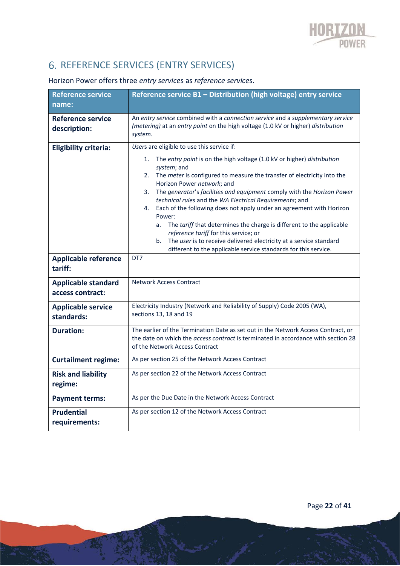# 6. REFERENCE SERVICES (ENTRY SERVICES)

### Horizon Power offers three *entry service*s as *reference service*s.

| <b>Reference service</b><br>name:              | Reference service B1 - Distribution (high voltage) entry service                                                                                                                                                                                                                                                                                                                                                                                                                                                                                                                                                                                                                                                           |
|------------------------------------------------|----------------------------------------------------------------------------------------------------------------------------------------------------------------------------------------------------------------------------------------------------------------------------------------------------------------------------------------------------------------------------------------------------------------------------------------------------------------------------------------------------------------------------------------------------------------------------------------------------------------------------------------------------------------------------------------------------------------------------|
| <b>Reference service</b><br>description:       | An entry service combined with a connection service and a supplementary service<br>(metering) at an entry point on the high voltage (1.0 kV or higher) distribution<br>system.                                                                                                                                                                                                                                                                                                                                                                                                                                                                                                                                             |
| <b>Eligibility criteria:</b>                   | Users are eligible to use this service if:                                                                                                                                                                                                                                                                                                                                                                                                                                                                                                                                                                                                                                                                                 |
|                                                | The entry point is on the high voltage (1.0 kV or higher) distribution<br>1.<br>system; and<br>The meter is configured to measure the transfer of electricity into the<br>2.<br>Horizon Power network; and<br>The generator's facilities and equipment comply with the Horizon Power<br>3.<br>technical rules and the WA Electrical Requirements; and<br>Each of the following does not apply under an agreement with Horizon<br>4.<br>Power:<br>The tariff that determines the charge is different to the applicable<br>a.<br>reference tariff for this service; or<br>The user is to receive delivered electricity at a service standard<br>b.<br>different to the applicable service standards for this service.<br>DT7 |
| <b>Applicable reference</b><br>tariff:         |                                                                                                                                                                                                                                                                                                                                                                                                                                                                                                                                                                                                                                                                                                                            |
| <b>Applicable standard</b><br>access contract: | <b>Network Access Contract</b>                                                                                                                                                                                                                                                                                                                                                                                                                                                                                                                                                                                                                                                                                             |
| <b>Applicable service</b><br>standards:        | Electricity Industry (Network and Reliability of Supply) Code 2005 (WA),<br>sections 13, 18 and 19                                                                                                                                                                                                                                                                                                                                                                                                                                                                                                                                                                                                                         |
| <b>Duration:</b>                               | The earlier of the Termination Date as set out in the Network Access Contract, or<br>the date on which the access contract is terminated in accordance with section 28<br>of the Network Access Contract                                                                                                                                                                                                                                                                                                                                                                                                                                                                                                                   |
| <b>Curtailment regime:</b>                     | As per section 25 of the Network Access Contract                                                                                                                                                                                                                                                                                                                                                                                                                                                                                                                                                                                                                                                                           |
| <b>Risk and liability</b><br>regime:           | As per section 22 of the Network Access Contract                                                                                                                                                                                                                                                                                                                                                                                                                                                                                                                                                                                                                                                                           |
| <b>Payment terms:</b>                          | As per the Due Date in the Network Access Contract                                                                                                                                                                                                                                                                                                                                                                                                                                                                                                                                                                                                                                                                         |
| <b>Prudential</b><br>requirements:             | As per section 12 of the Network Access Contract                                                                                                                                                                                                                                                                                                                                                                                                                                                                                                                                                                                                                                                                           |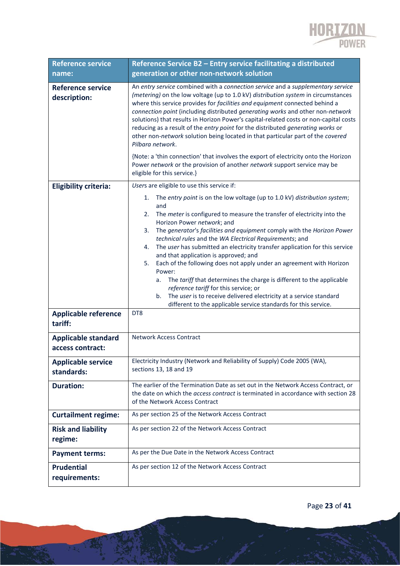

| <b>Reference service</b><br>name:              | Reference Service B2 - Entry service facilitating a distributed<br>generation or other non-network solution                                                                                                                                                                                                                                                                                                                                                                                                                                                                                                                                                                                                                                                                                                                                         |
|------------------------------------------------|-----------------------------------------------------------------------------------------------------------------------------------------------------------------------------------------------------------------------------------------------------------------------------------------------------------------------------------------------------------------------------------------------------------------------------------------------------------------------------------------------------------------------------------------------------------------------------------------------------------------------------------------------------------------------------------------------------------------------------------------------------------------------------------------------------------------------------------------------------|
| <b>Reference service</b><br>description:       | An entry service combined with a connection service and a supplementary service<br>(metering) on the low voltage (up to 1.0 kV) distribution system in circumstances<br>where this service provides for facilities and equipment connected behind a<br>connection point (including distributed generating works and other non-network<br>solutions) that results in Horizon Power's capital-related costs or non-capital costs<br>reducing as a result of the entry point for the distributed generating works or<br>other non-network solution being located in that particular part of the covered<br>Pilbara network.                                                                                                                                                                                                                            |
|                                                | {Note: a 'thin connection' that involves the export of electricity onto the Horizon<br>Power network or the provision of another network support service may be<br>eligible for this service.}                                                                                                                                                                                                                                                                                                                                                                                                                                                                                                                                                                                                                                                      |
| <b>Eligibility criteria:</b>                   | Users are eligible to use this service if:                                                                                                                                                                                                                                                                                                                                                                                                                                                                                                                                                                                                                                                                                                                                                                                                          |
| <b>Applicable reference</b><br>tariff:         | The entry point is on the low voltage (up to 1.0 kV) distribution system;<br>1.<br>and<br>The meter is configured to measure the transfer of electricity into the<br>2.<br>Horizon Power network; and<br>The generator's facilities and equipment comply with the Horizon Power<br>3.<br>technical rules and the WA Electrical Requirements; and<br>The user has submitted an electricity transfer application for this service<br>4.<br>and that application is approved; and<br>Each of the following does not apply under an agreement with Horizon<br>5.<br>Power:<br>The tariff that determines the charge is different to the applicable<br>а.<br>reference tariff for this service; or<br>The user is to receive delivered electricity at a service standard<br>b.<br>different to the applicable service standards for this service.<br>DT8 |
| <b>Applicable standard</b><br>access contract: | <b>Network Access Contract</b>                                                                                                                                                                                                                                                                                                                                                                                                                                                                                                                                                                                                                                                                                                                                                                                                                      |
| <b>Applicable service</b><br>standards:        | Electricity Industry (Network and Reliability of Supply) Code 2005 (WA),<br>sections 13, 18 and 19                                                                                                                                                                                                                                                                                                                                                                                                                                                                                                                                                                                                                                                                                                                                                  |
| <b>Duration:</b>                               | The earlier of the Termination Date as set out in the Network Access Contract, or<br>the date on which the access contract is terminated in accordance with section 28<br>of the Network Access Contract                                                                                                                                                                                                                                                                                                                                                                                                                                                                                                                                                                                                                                            |
| <b>Curtailment regime:</b>                     | As per section 25 of the Network Access Contract                                                                                                                                                                                                                                                                                                                                                                                                                                                                                                                                                                                                                                                                                                                                                                                                    |
| <b>Risk and liability</b><br>regime:           | As per section 22 of the Network Access Contract                                                                                                                                                                                                                                                                                                                                                                                                                                                                                                                                                                                                                                                                                                                                                                                                    |
| <b>Payment terms:</b>                          | As per the Due Date in the Network Access Contract                                                                                                                                                                                                                                                                                                                                                                                                                                                                                                                                                                                                                                                                                                                                                                                                  |
| <b>Prudential</b><br>requirements:             | As per section 12 of the Network Access Contract                                                                                                                                                                                                                                                                                                                                                                                                                                                                                                                                                                                                                                                                                                                                                                                                    |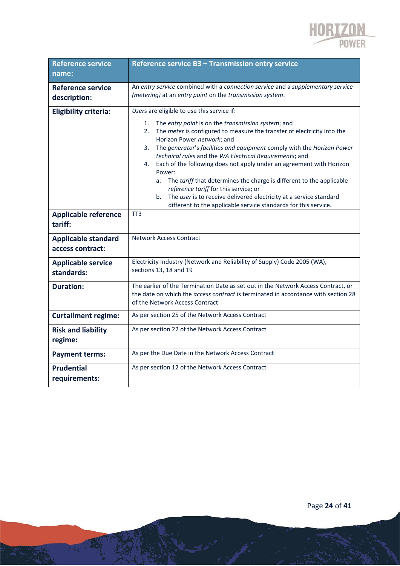

| <b>Reference service</b><br>name:              | Reference service B3 - Transmission entry service                                                                                                                                                                                                                                                                                                                                                                                                                                                                                                                                                                                                                                                                              |
|------------------------------------------------|--------------------------------------------------------------------------------------------------------------------------------------------------------------------------------------------------------------------------------------------------------------------------------------------------------------------------------------------------------------------------------------------------------------------------------------------------------------------------------------------------------------------------------------------------------------------------------------------------------------------------------------------------------------------------------------------------------------------------------|
| <b>Reference service</b><br>description:       | An entry service combined with a connection service and a supplementary service<br>(metering) at an entry point on the transmission system.                                                                                                                                                                                                                                                                                                                                                                                                                                                                                                                                                                                    |
| <b>Eligibility criteria:</b>                   | Users are eligible to use this service if:<br>1.<br>The entry point is on the transmission system; and<br>2.<br>The meter is configured to measure the transfer of electricity into the<br>Horizon Power network; and<br>The generator's facilities and equipment comply with the Horizon Power<br>3.<br>technical rules and the WA Electrical Requirements; and<br>Each of the following does not apply under an agreement with Horizon<br>4.<br>Power:<br>The tariff that determines the charge is different to the applicable<br>a.<br>reference tariff for this service; or<br>The user is to receive delivered electricity at a service standard<br>b.<br>different to the applicable service standards for this service. |
| <b>Applicable reference</b><br>tariff:         | TT <sub>3</sub>                                                                                                                                                                                                                                                                                                                                                                                                                                                                                                                                                                                                                                                                                                                |
| <b>Applicable standard</b><br>access contract: | <b>Network Access Contract</b>                                                                                                                                                                                                                                                                                                                                                                                                                                                                                                                                                                                                                                                                                                 |
| <b>Applicable service</b><br>standards:        | Electricity Industry (Network and Reliability of Supply) Code 2005 (WA),<br>sections 13, 18 and 19                                                                                                                                                                                                                                                                                                                                                                                                                                                                                                                                                                                                                             |
| <b>Duration:</b>                               | The earlier of the Termination Date as set out in the Network Access Contract, or<br>the date on which the <i>access contract</i> is terminated in accordance with section 28<br>of the Network Access Contract                                                                                                                                                                                                                                                                                                                                                                                                                                                                                                                |
| <b>Curtailment regime:</b>                     | As per section 25 of the Network Access Contract                                                                                                                                                                                                                                                                                                                                                                                                                                                                                                                                                                                                                                                                               |
| <b>Risk and liability</b><br>regime:           | As per section 22 of the Network Access Contract                                                                                                                                                                                                                                                                                                                                                                                                                                                                                                                                                                                                                                                                               |
| <b>Payment terms:</b>                          | As per the Due Date in the Network Access Contract                                                                                                                                                                                                                                                                                                                                                                                                                                                                                                                                                                                                                                                                             |
| <b>Prudential</b><br>requirements:             | As per section 12 of the Network Access Contract                                                                                                                                                                                                                                                                                                                                                                                                                                                                                                                                                                                                                                                                               |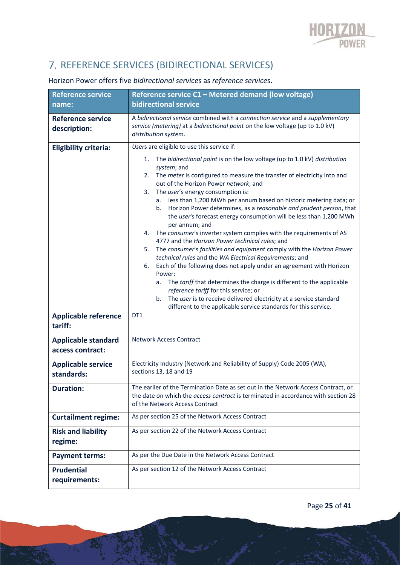# 7. REFERENCE SERVICES (BIDIRECTIONAL SERVICES)

| <b>Reference service</b>                       | Reference service C1 - Metered demand (low voltage)                                                                                                                                                                                                                                                                                                                                                                                                                                                                                                                                                                                                                                                                                                                                                                                                                                                                                                                                                                                                                                                                                                     |
|------------------------------------------------|---------------------------------------------------------------------------------------------------------------------------------------------------------------------------------------------------------------------------------------------------------------------------------------------------------------------------------------------------------------------------------------------------------------------------------------------------------------------------------------------------------------------------------------------------------------------------------------------------------------------------------------------------------------------------------------------------------------------------------------------------------------------------------------------------------------------------------------------------------------------------------------------------------------------------------------------------------------------------------------------------------------------------------------------------------------------------------------------------------------------------------------------------------|
| name:                                          | <b>bidirectional service</b>                                                                                                                                                                                                                                                                                                                                                                                                                                                                                                                                                                                                                                                                                                                                                                                                                                                                                                                                                                                                                                                                                                                            |
| <b>Reference service</b><br>description:       | A bidirectional service combined with a connection service and a supplementary<br>service (metering) at a bidirectional point on the low voltage (up to 1.0 kV)<br>distribution system.                                                                                                                                                                                                                                                                                                                                                                                                                                                                                                                                                                                                                                                                                                                                                                                                                                                                                                                                                                 |
| <b>Eligibility criteria:</b>                   | Users are eligible to use this service if:                                                                                                                                                                                                                                                                                                                                                                                                                                                                                                                                                                                                                                                                                                                                                                                                                                                                                                                                                                                                                                                                                                              |
|                                                | The bidirectional point is on the low voltage (up to 1.0 kV) distribution<br>1.<br>system; and<br>The meter is configured to measure the transfer of electricity into and<br>2.<br>out of the Horizon Power network; and<br>The user's energy consumption is:<br>3.<br>less than 1,200 MWh per annum based on historic metering data; or<br>а.<br>Horizon Power determines, as a reasonable and prudent person, that<br>b.<br>the user's forecast energy consumption will be less than 1,200 MWh<br>per annum; and<br>4. The consumer's inverter system complies with the requirements of AS<br>4777 and the Horizon Power technical rules; and<br>The consumer's facilities and equipment comply with the Horizon Power<br>5.<br>technical rules and the WA Electrical Requirements; and<br>Each of the following does not apply under an agreement with Horizon<br>6.<br>Power:<br>The tariff that determines the charge is different to the applicable<br>а.<br>reference tariff for this service; or<br>The user is to receive delivered electricity at a service standard<br>b.<br>different to the applicable service standards for this service. |
| <b>Applicable reference</b><br>tariff:         | DT1                                                                                                                                                                                                                                                                                                                                                                                                                                                                                                                                                                                                                                                                                                                                                                                                                                                                                                                                                                                                                                                                                                                                                     |
| <b>Applicable standard</b><br>access contract: | <b>Network Access Contract</b>                                                                                                                                                                                                                                                                                                                                                                                                                                                                                                                                                                                                                                                                                                                                                                                                                                                                                                                                                                                                                                                                                                                          |
| <b>Applicable service</b><br>standards:        | Electricity Industry (Network and Reliability of Supply) Code 2005 (WA),<br>sections 13, 18 and 19                                                                                                                                                                                                                                                                                                                                                                                                                                                                                                                                                                                                                                                                                                                                                                                                                                                                                                                                                                                                                                                      |
| Duration:                                      | The earlier of the Termination Date as set out in the Network Access Contract, or<br>the date on which the access contract is terminated in accordance with section 28<br>of the Network Access Contract                                                                                                                                                                                                                                                                                                                                                                                                                                                                                                                                                                                                                                                                                                                                                                                                                                                                                                                                                |
| <b>Curtailment regime:</b>                     | As per section 25 of the Network Access Contract                                                                                                                                                                                                                                                                                                                                                                                                                                                                                                                                                                                                                                                                                                                                                                                                                                                                                                                                                                                                                                                                                                        |
| <b>Risk and liability</b><br>regime:           | As per section 22 of the Network Access Contract                                                                                                                                                                                                                                                                                                                                                                                                                                                                                                                                                                                                                                                                                                                                                                                                                                                                                                                                                                                                                                                                                                        |
| <b>Payment terms:</b>                          | As per the Due Date in the Network Access Contract                                                                                                                                                                                                                                                                                                                                                                                                                                                                                                                                                                                                                                                                                                                                                                                                                                                                                                                                                                                                                                                                                                      |
| <b>Prudential</b><br>requirements:             | As per section 12 of the Network Access Contract                                                                                                                                                                                                                                                                                                                                                                                                                                                                                                                                                                                                                                                                                                                                                                                                                                                                                                                                                                                                                                                                                                        |

### Horizon Power offers five *bidirectional service*s as *reference service*s.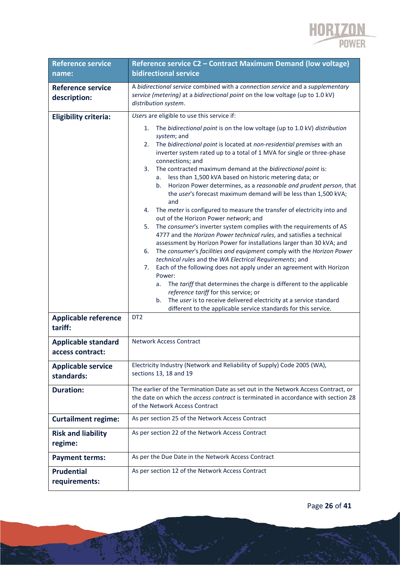

| <b>Reference service</b>                       | Reference service C2 - Contract Maximum Demand (low voltage)                                                                                                                                                                                                                                                                                                                                                                                                                                                                                                                                                                                                                                                                                                                                                                                                                                                                                                                                                                                                                                                                                                                                                                                                                                                                                                                                                                                               |
|------------------------------------------------|------------------------------------------------------------------------------------------------------------------------------------------------------------------------------------------------------------------------------------------------------------------------------------------------------------------------------------------------------------------------------------------------------------------------------------------------------------------------------------------------------------------------------------------------------------------------------------------------------------------------------------------------------------------------------------------------------------------------------------------------------------------------------------------------------------------------------------------------------------------------------------------------------------------------------------------------------------------------------------------------------------------------------------------------------------------------------------------------------------------------------------------------------------------------------------------------------------------------------------------------------------------------------------------------------------------------------------------------------------------------------------------------------------------------------------------------------------|
| name:                                          | <b>bidirectional service</b>                                                                                                                                                                                                                                                                                                                                                                                                                                                                                                                                                                                                                                                                                                                                                                                                                                                                                                                                                                                                                                                                                                                                                                                                                                                                                                                                                                                                                               |
| <b>Reference service</b><br>description:       | A bidirectional service combined with a connection service and a supplementary<br>service (metering) at a bidirectional point on the low voltage (up to 1.0 kV)<br>distribution system.                                                                                                                                                                                                                                                                                                                                                                                                                                                                                                                                                                                                                                                                                                                                                                                                                                                                                                                                                                                                                                                                                                                                                                                                                                                                    |
| <b>Eligibility criteria:</b>                   | Users are eligible to use this service if:                                                                                                                                                                                                                                                                                                                                                                                                                                                                                                                                                                                                                                                                                                                                                                                                                                                                                                                                                                                                                                                                                                                                                                                                                                                                                                                                                                                                                 |
| <b>Applicable reference</b>                    | The bidirectional point is on the low voltage (up to 1.0 kV) distribution<br>1.<br>system; and<br>The bidirectional point is located at non-residential premises with an<br>2.<br>inverter system rated up to a total of 1 MVA for single or three-phase<br>connections; and<br>3.<br>The contracted maximum demand at the bidirectional point is:<br>less than 1,500 kVA based on historic metering data; or<br>а.<br>Horizon Power determines, as a reasonable and prudent person, that<br>b.<br>the user's forecast maximum demand will be less than 1,500 kVA;<br>and<br>4. The meter is configured to measure the transfer of electricity into and<br>out of the Horizon Power network; and<br>The consumer's inverter system complies with the requirements of AS<br>5.<br>4777 and the Horizon Power technical rules, and satisfies a technical<br>assessment by Horizon Power for installations larger than 30 kVA; and<br>The consumer's facilities and equipment comply with the Horizon Power<br>6.<br>technical rules and the WA Electrical Requirements; and<br>Each of the following does not apply under an agreement with Horizon<br>7.<br>Power:<br>The tariff that determines the charge is different to the applicable<br>а.<br>reference tariff for this service; or<br>The user is to receive delivered electricity at a service standard<br>b.<br>different to the applicable service standards for this service.<br>DT <sub>2</sub> |
| tariff:                                        |                                                                                                                                                                                                                                                                                                                                                                                                                                                                                                                                                                                                                                                                                                                                                                                                                                                                                                                                                                                                                                                                                                                                                                                                                                                                                                                                                                                                                                                            |
| <b>Applicable standard</b><br>access contract: | <b>Network Access Contract</b>                                                                                                                                                                                                                                                                                                                                                                                                                                                                                                                                                                                                                                                                                                                                                                                                                                                                                                                                                                                                                                                                                                                                                                                                                                                                                                                                                                                                                             |
| <b>Applicable service</b><br>standards:        | Electricity Industry (Network and Reliability of Supply) Code 2005 (WA),<br>sections 13, 18 and 19                                                                                                                                                                                                                                                                                                                                                                                                                                                                                                                                                                                                                                                                                                                                                                                                                                                                                                                                                                                                                                                                                                                                                                                                                                                                                                                                                         |
| <b>Duration:</b>                               | The earlier of the Termination Date as set out in the Network Access Contract, or<br>the date on which the <i>access contract</i> is terminated in accordance with section 28<br>of the Network Access Contract                                                                                                                                                                                                                                                                                                                                                                                                                                                                                                                                                                                                                                                                                                                                                                                                                                                                                                                                                                                                                                                                                                                                                                                                                                            |
| <b>Curtailment regime:</b>                     | As per section 25 of the Network Access Contract                                                                                                                                                                                                                                                                                                                                                                                                                                                                                                                                                                                                                                                                                                                                                                                                                                                                                                                                                                                                                                                                                                                                                                                                                                                                                                                                                                                                           |
| <b>Risk and liability</b><br>regime:           | As per section 22 of the Network Access Contract                                                                                                                                                                                                                                                                                                                                                                                                                                                                                                                                                                                                                                                                                                                                                                                                                                                                                                                                                                                                                                                                                                                                                                                                                                                                                                                                                                                                           |
| <b>Payment terms:</b>                          | As per the Due Date in the Network Access Contract                                                                                                                                                                                                                                                                                                                                                                                                                                                                                                                                                                                                                                                                                                                                                                                                                                                                                                                                                                                                                                                                                                                                                                                                                                                                                                                                                                                                         |
| <b>Prudential</b><br>requirements:             | As per section 12 of the Network Access Contract                                                                                                                                                                                                                                                                                                                                                                                                                                                                                                                                                                                                                                                                                                                                                                                                                                                                                                                                                                                                                                                                                                                                                                                                                                                                                                                                                                                                           |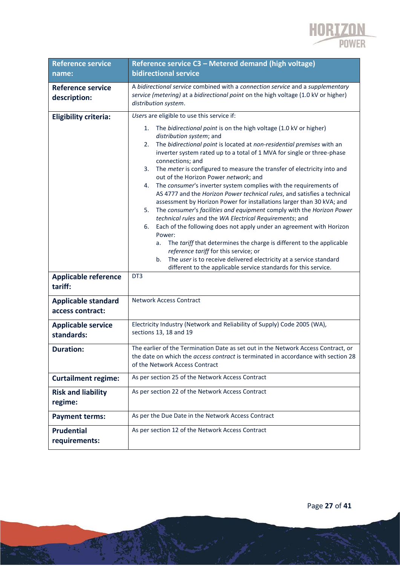

| <b>Reference service</b>                       | Reference service C3 - Metered demand (high voltage)                                                                                                                                                                                                                                                                                                                                                                                                                                                                                                                                                                                                                                                                                                                                                                                                                                                                                                                                                                                                                                                                                                      |  |  |  |  |  |  |
|------------------------------------------------|-----------------------------------------------------------------------------------------------------------------------------------------------------------------------------------------------------------------------------------------------------------------------------------------------------------------------------------------------------------------------------------------------------------------------------------------------------------------------------------------------------------------------------------------------------------------------------------------------------------------------------------------------------------------------------------------------------------------------------------------------------------------------------------------------------------------------------------------------------------------------------------------------------------------------------------------------------------------------------------------------------------------------------------------------------------------------------------------------------------------------------------------------------------|--|--|--|--|--|--|
| name:                                          | <b>bidirectional service</b>                                                                                                                                                                                                                                                                                                                                                                                                                                                                                                                                                                                                                                                                                                                                                                                                                                                                                                                                                                                                                                                                                                                              |  |  |  |  |  |  |
| <b>Reference service</b><br>description:       | A bidirectional service combined with a connection service and a supplementary<br>service (metering) at a bidirectional point on the high voltage (1.0 kV or higher)<br>distribution system.                                                                                                                                                                                                                                                                                                                                                                                                                                                                                                                                                                                                                                                                                                                                                                                                                                                                                                                                                              |  |  |  |  |  |  |
| <b>Eligibility criteria:</b>                   | Users are eligible to use this service if:                                                                                                                                                                                                                                                                                                                                                                                                                                                                                                                                                                                                                                                                                                                                                                                                                                                                                                                                                                                                                                                                                                                |  |  |  |  |  |  |
| <b>Applicable reference</b>                    | The bidirectional point is on the high voltage (1.0 kV or higher)<br>1.<br>distribution system; and<br>The bidirectional point is located at non-residential premises with an<br>2.<br>inverter system rated up to a total of 1 MVA for single or three-phase<br>connections; and<br>The meter is configured to measure the transfer of electricity into and<br>3.<br>out of the Horizon Power network; and<br>The consumer's inverter system complies with the requirements of<br>4.<br>AS 4777 and the Horizon Power technical rules, and satisfies a technical<br>assessment by Horizon Power for installations larger than 30 kVA; and<br>The consumer's facilities and equipment comply with the Horizon Power<br>5.<br>technical rules and the WA Electrical Requirements; and<br>Each of the following does not apply under an agreement with Horizon<br>6.<br>Power:<br>The tariff that determines the charge is different to the applicable<br>а.<br>reference tariff for this service; or<br>The user is to receive delivered electricity at a service standard<br>b.<br>different to the applicable service standards for this service.<br>DT3 |  |  |  |  |  |  |
| tariff:                                        |                                                                                                                                                                                                                                                                                                                                                                                                                                                                                                                                                                                                                                                                                                                                                                                                                                                                                                                                                                                                                                                                                                                                                           |  |  |  |  |  |  |
| <b>Applicable standard</b><br>access contract: | <b>Network Access Contract</b>                                                                                                                                                                                                                                                                                                                                                                                                                                                                                                                                                                                                                                                                                                                                                                                                                                                                                                                                                                                                                                                                                                                            |  |  |  |  |  |  |
| <b>Applicable service</b><br>standards:        | Electricity Industry (Network and Reliability of Supply) Code 2005 (WA),<br>sections 13, 18 and 19                                                                                                                                                                                                                                                                                                                                                                                                                                                                                                                                                                                                                                                                                                                                                                                                                                                                                                                                                                                                                                                        |  |  |  |  |  |  |
| <b>Duration:</b>                               | The earlier of the Termination Date as set out in the Network Access Contract, or<br>the date on which the access contract is terminated in accordance with section 28<br>of the Network Access Contract                                                                                                                                                                                                                                                                                                                                                                                                                                                                                                                                                                                                                                                                                                                                                                                                                                                                                                                                                  |  |  |  |  |  |  |
| <b>Curtailment regime:</b>                     | As per section 25 of the Network Access Contract                                                                                                                                                                                                                                                                                                                                                                                                                                                                                                                                                                                                                                                                                                                                                                                                                                                                                                                                                                                                                                                                                                          |  |  |  |  |  |  |
| <b>Risk and liability</b><br>regime:           | As per section 22 of the Network Access Contract                                                                                                                                                                                                                                                                                                                                                                                                                                                                                                                                                                                                                                                                                                                                                                                                                                                                                                                                                                                                                                                                                                          |  |  |  |  |  |  |
| <b>Payment terms:</b>                          | As per the Due Date in the Network Access Contract                                                                                                                                                                                                                                                                                                                                                                                                                                                                                                                                                                                                                                                                                                                                                                                                                                                                                                                                                                                                                                                                                                        |  |  |  |  |  |  |
| <b>Prudential</b><br>requirements:             | As per section 12 of the Network Access Contract                                                                                                                                                                                                                                                                                                                                                                                                                                                                                                                                                                                                                                                                                                                                                                                                                                                                                                                                                                                                                                                                                                          |  |  |  |  |  |  |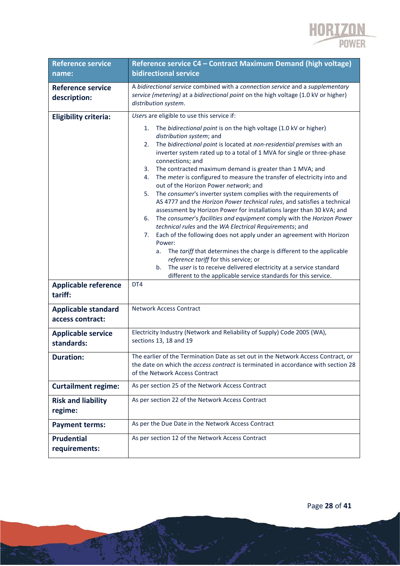

| <b>Reference service</b><br>name:              | Reference service C4 - Contract Maximum Demand (high voltage)<br><b>bidirectional service</b>                                                                                                                                                                                                                                                                                                                                                                                                                                                                                                                                                                                                                                                                                                                                                                                                                                                                                                                                                                                                                                                                                                                               |  |  |  |  |  |
|------------------------------------------------|-----------------------------------------------------------------------------------------------------------------------------------------------------------------------------------------------------------------------------------------------------------------------------------------------------------------------------------------------------------------------------------------------------------------------------------------------------------------------------------------------------------------------------------------------------------------------------------------------------------------------------------------------------------------------------------------------------------------------------------------------------------------------------------------------------------------------------------------------------------------------------------------------------------------------------------------------------------------------------------------------------------------------------------------------------------------------------------------------------------------------------------------------------------------------------------------------------------------------------|--|--|--|--|--|
| <b>Reference service</b><br>description:       | A bidirectional service combined with a connection service and a supplementary<br>service (metering) at a bidirectional point on the high voltage (1.0 kV or higher)<br>distribution system.                                                                                                                                                                                                                                                                                                                                                                                                                                                                                                                                                                                                                                                                                                                                                                                                                                                                                                                                                                                                                                |  |  |  |  |  |
| <b>Eligibility criteria:</b>                   | Users are eligible to use this service if:                                                                                                                                                                                                                                                                                                                                                                                                                                                                                                                                                                                                                                                                                                                                                                                                                                                                                                                                                                                                                                                                                                                                                                                  |  |  |  |  |  |
| <b>Applicable reference</b>                    | The bidirectional point is on the high voltage (1.0 kV or higher)<br>1.<br>distribution system; and<br>The bidirectional point is located at non-residential premises with an<br>2.<br>inverter system rated up to a total of 1 MVA for single or three-phase<br>connections; and<br>The contracted maximum demand is greater than 1 MVA; and<br>3.<br>The meter is configured to measure the transfer of electricity into and<br>4.<br>out of the Horizon Power network; and<br>The consumer's inverter system complies with the requirements of<br>5.<br>AS 4777 and the Horizon Power technical rules, and satisfies a technical<br>assessment by Horizon Power for installations larger than 30 kVA; and<br>The consumer's facilities and equipment comply with the Horizon Power<br>6.<br>technical rules and the WA Electrical Requirements; and<br>Each of the following does not apply under an agreement with Horizon<br>7.<br>Power:<br>The tariff that determines the charge is different to the applicable<br>а.<br>reference tariff for this service; or<br>The user is to receive delivered electricity at a service standard<br>b.<br>different to the applicable service standards for this service.<br>DT4 |  |  |  |  |  |
| tariff:                                        |                                                                                                                                                                                                                                                                                                                                                                                                                                                                                                                                                                                                                                                                                                                                                                                                                                                                                                                                                                                                                                                                                                                                                                                                                             |  |  |  |  |  |
| <b>Applicable standard</b><br>access contract: | <b>Network Access Contract</b>                                                                                                                                                                                                                                                                                                                                                                                                                                                                                                                                                                                                                                                                                                                                                                                                                                                                                                                                                                                                                                                                                                                                                                                              |  |  |  |  |  |
| <b>Applicable service</b><br>standards:        | Electricity Industry (Network and Reliability of Supply) Code 2005 (WA),<br>sections 13, 18 and 19                                                                                                                                                                                                                                                                                                                                                                                                                                                                                                                                                                                                                                                                                                                                                                                                                                                                                                                                                                                                                                                                                                                          |  |  |  |  |  |
| Duration:                                      | The earlier of the Termination Date as set out in the Network Access Contract, or<br>the date on which the access contract is terminated in accordance with section 28<br>of the Network Access Contract                                                                                                                                                                                                                                                                                                                                                                                                                                                                                                                                                                                                                                                                                                                                                                                                                                                                                                                                                                                                                    |  |  |  |  |  |
| <b>Curtailment regime:</b>                     | As per section 25 of the Network Access Contract                                                                                                                                                                                                                                                                                                                                                                                                                                                                                                                                                                                                                                                                                                                                                                                                                                                                                                                                                                                                                                                                                                                                                                            |  |  |  |  |  |
| <b>Risk and liability</b><br>regime:           | As per section 22 of the Network Access Contract                                                                                                                                                                                                                                                                                                                                                                                                                                                                                                                                                                                                                                                                                                                                                                                                                                                                                                                                                                                                                                                                                                                                                                            |  |  |  |  |  |
| <b>Payment terms:</b>                          | As per the Due Date in the Network Access Contract                                                                                                                                                                                                                                                                                                                                                                                                                                                                                                                                                                                                                                                                                                                                                                                                                                                                                                                                                                                                                                                                                                                                                                          |  |  |  |  |  |
| <b>Prudential</b><br>requirements:             | As per section 12 of the Network Access Contract                                                                                                                                                                                                                                                                                                                                                                                                                                                                                                                                                                                                                                                                                                                                                                                                                                                                                                                                                                                                                                                                                                                                                                            |  |  |  |  |  |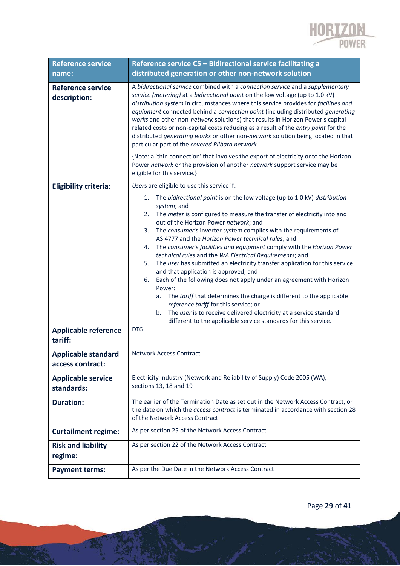

| <b>Reference service</b>                 | Reference service C5 - Bidirectional service facilitating a                                                                                                                                                                                                                                                                                                                                                                                                                                                                                                                                                                                                                                                                                                                                                                                                                                                                                                                                           |  |  |  |  |  |  |
|------------------------------------------|-------------------------------------------------------------------------------------------------------------------------------------------------------------------------------------------------------------------------------------------------------------------------------------------------------------------------------------------------------------------------------------------------------------------------------------------------------------------------------------------------------------------------------------------------------------------------------------------------------------------------------------------------------------------------------------------------------------------------------------------------------------------------------------------------------------------------------------------------------------------------------------------------------------------------------------------------------------------------------------------------------|--|--|--|--|--|--|
| name:                                    | distributed generation or other non-network solution                                                                                                                                                                                                                                                                                                                                                                                                                                                                                                                                                                                                                                                                                                                                                                                                                                                                                                                                                  |  |  |  |  |  |  |
| <b>Reference service</b><br>description: | A bidirectional service combined with a connection service and a supplementary<br>service (metering) at a bidirectional point on the low voltage (up to 1.0 kV)<br>distribution system in circumstances where this service provides for facilities and<br>equipment connected behind a connection point (including distributed generating<br>works and other non-network solutions) that results in Horizon Power's capital-<br>related costs or non-capital costs reducing as a result of the entry point for the<br>distributed generating works or other non-network solution being located in that<br>particular part of the covered Pilbara network.<br>{Note: a 'thin connection' that involves the export of electricity onto the Horizon<br>Power network or the provision of another network support service may be<br>eligible for this service.}                                                                                                                                           |  |  |  |  |  |  |
| <b>Eligibility criteria:</b>             | Users are eligible to use this service if:                                                                                                                                                                                                                                                                                                                                                                                                                                                                                                                                                                                                                                                                                                                                                                                                                                                                                                                                                            |  |  |  |  |  |  |
| <b>Applicable reference</b><br>tariff:   | The bidirectional point is on the low voltage (up to 1.0 kV) distribution<br>1.<br>system; and<br>The meter is configured to measure the transfer of electricity into and<br>2.<br>out of the Horizon Power network; and<br>The consumer's inverter system complies with the requirements of<br>3.<br>AS 4777 and the Horizon Power technical rules; and<br>The consumer's facilities and equipment comply with the Horizon Power<br>4.<br>technical rules and the WA Electrical Requirements; and<br>The user has submitted an electricity transfer application for this service<br>5.<br>and that application is approved; and<br>Each of the following does not apply under an agreement with Horizon<br>6.<br>Power:<br>The tariff that determines the charge is different to the applicable<br>a.<br>reference tariff for this service; or<br>The user is to receive delivered electricity at a service standard<br>b.<br>different to the applicable service standards for this service.<br>DT6 |  |  |  |  |  |  |
| <b>Applicable standard</b>               | <b>Network Access Contract</b>                                                                                                                                                                                                                                                                                                                                                                                                                                                                                                                                                                                                                                                                                                                                                                                                                                                                                                                                                                        |  |  |  |  |  |  |
| access contract:                         |                                                                                                                                                                                                                                                                                                                                                                                                                                                                                                                                                                                                                                                                                                                                                                                                                                                                                                                                                                                                       |  |  |  |  |  |  |
| <b>Applicable service</b><br>standards:  | Electricity Industry (Network and Reliability of Supply) Code 2005 (WA),<br>sections 13, 18 and 19                                                                                                                                                                                                                                                                                                                                                                                                                                                                                                                                                                                                                                                                                                                                                                                                                                                                                                    |  |  |  |  |  |  |
| <b>Duration:</b>                         | The earlier of the Termination Date as set out in the Network Access Contract, or<br>the date on which the access contract is terminated in accordance with section 28<br>of the Network Access Contract                                                                                                                                                                                                                                                                                                                                                                                                                                                                                                                                                                                                                                                                                                                                                                                              |  |  |  |  |  |  |
| <b>Curtailment regime:</b>               | As per section 25 of the Network Access Contract                                                                                                                                                                                                                                                                                                                                                                                                                                                                                                                                                                                                                                                                                                                                                                                                                                                                                                                                                      |  |  |  |  |  |  |
| <b>Risk and liability</b><br>regime:     | As per section 22 of the Network Access Contract                                                                                                                                                                                                                                                                                                                                                                                                                                                                                                                                                                                                                                                                                                                                                                                                                                                                                                                                                      |  |  |  |  |  |  |
| <b>Payment terms:</b>                    | As per the Due Date in the Network Access Contract                                                                                                                                                                                                                                                                                                                                                                                                                                                                                                                                                                                                                                                                                                                                                                                                                                                                                                                                                    |  |  |  |  |  |  |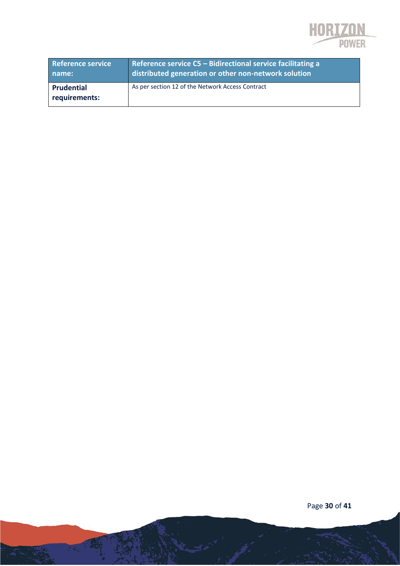

| <b>Reference service</b>    | Reference service $C5$ – Bidirectional service facilitating a |
|-----------------------------|---------------------------------------------------------------|
| name:                       | distributed generation or other non-network solution          |
| Prudential<br>requirements: | As per section 12 of the Network Access Contract              |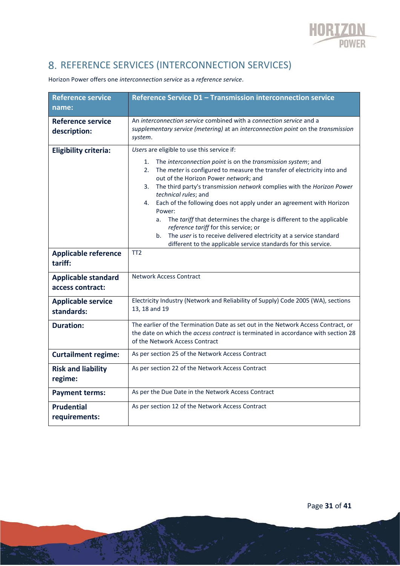

# 8. REFERENCE SERVICES (INTERCONNECTION SERVICES)

| <b>Reference service</b><br>name:              | Reference Service D1 - Transmission interconnection service                                                                                                                                                                                                                                                                                                                                                                                                                                                                                                                                                                                                                                                                  |  |  |  |  |  |  |
|------------------------------------------------|------------------------------------------------------------------------------------------------------------------------------------------------------------------------------------------------------------------------------------------------------------------------------------------------------------------------------------------------------------------------------------------------------------------------------------------------------------------------------------------------------------------------------------------------------------------------------------------------------------------------------------------------------------------------------------------------------------------------------|--|--|--|--|--|--|
| <b>Reference service</b><br>description:       | An interconnection service combined with a connection service and a<br>supplementary service (metering) at an interconnection point on the transmission<br>system.                                                                                                                                                                                                                                                                                                                                                                                                                                                                                                                                                           |  |  |  |  |  |  |
| <b>Eligibility criteria:</b>                   | Users are eligible to use this service if:<br>The interconnection point is on the transmission system; and<br>1.<br>2.<br>The meter is configured to measure the transfer of electricity into and<br>out of the Horizon Power network; and<br>The third party's transmission network complies with the Horizon Power<br>3.<br>technical rules; and<br>Each of the following does not apply under an agreement with Horizon<br>4.<br>Power:<br>The tariff that determines the charge is different to the applicable<br>a.<br>reference tariff for this service; or<br>The user is to receive delivered electricity at a service standard<br>b <sub>1</sub><br>different to the applicable service standards for this service. |  |  |  |  |  |  |
| <b>Applicable reference</b><br>tariff:         | TT <sub>2</sub>                                                                                                                                                                                                                                                                                                                                                                                                                                                                                                                                                                                                                                                                                                              |  |  |  |  |  |  |
| <b>Applicable standard</b><br>access contract: | <b>Network Access Contract</b>                                                                                                                                                                                                                                                                                                                                                                                                                                                                                                                                                                                                                                                                                               |  |  |  |  |  |  |
| <b>Applicable service</b><br>standards:        | Electricity Industry (Network and Reliability of Supply) Code 2005 (WA), sections<br>13, 18 and 19                                                                                                                                                                                                                                                                                                                                                                                                                                                                                                                                                                                                                           |  |  |  |  |  |  |
| <b>Duration:</b>                               | The earlier of the Termination Date as set out in the Network Access Contract, or<br>the date on which the access contract is terminated in accordance with section 28<br>of the Network Access Contract                                                                                                                                                                                                                                                                                                                                                                                                                                                                                                                     |  |  |  |  |  |  |
| <b>Curtailment regime:</b>                     | As per section 25 of the Network Access Contract                                                                                                                                                                                                                                                                                                                                                                                                                                                                                                                                                                                                                                                                             |  |  |  |  |  |  |
| <b>Risk and liability</b><br>regime:           | As per section 22 of the Network Access Contract                                                                                                                                                                                                                                                                                                                                                                                                                                                                                                                                                                                                                                                                             |  |  |  |  |  |  |
| <b>Payment terms:</b>                          | As per the Due Date in the Network Access Contract                                                                                                                                                                                                                                                                                                                                                                                                                                                                                                                                                                                                                                                                           |  |  |  |  |  |  |
| <b>Prudential</b><br>requirements:             | As per section 12 of the Network Access Contract                                                                                                                                                                                                                                                                                                                                                                                                                                                                                                                                                                                                                                                                             |  |  |  |  |  |  |

Horizon Power offers one *interconnection service* as a *reference service*.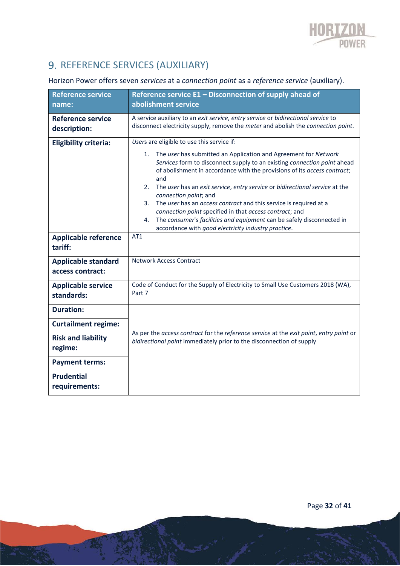

# 9. REFERENCE SERVICES (AUXILIARY)

### Horizon Power offers seven *services* at a *connection point* as a *reference service* (auxiliary).

| <b>Reference service</b><br>name:              | Reference service E1 - Disconnection of supply ahead of<br>abolishment service                                                                                                                                                                                                                                                                                                                                                                                                                                                                                                                                                        |  |  |  |  |  |  |
|------------------------------------------------|---------------------------------------------------------------------------------------------------------------------------------------------------------------------------------------------------------------------------------------------------------------------------------------------------------------------------------------------------------------------------------------------------------------------------------------------------------------------------------------------------------------------------------------------------------------------------------------------------------------------------------------|--|--|--|--|--|--|
| <b>Reference service</b><br>description:       | A service auxiliary to an exit service, entry service or bidirectional service to<br>disconnect electricity supply, remove the meter and abolish the connection point.                                                                                                                                                                                                                                                                                                                                                                                                                                                                |  |  |  |  |  |  |
| <b>Eligibility criteria:</b>                   | Users are eligible to use this service if:                                                                                                                                                                                                                                                                                                                                                                                                                                                                                                                                                                                            |  |  |  |  |  |  |
| <b>Applicable reference</b>                    | The user has submitted an Application and Agreement for Network<br>1.<br>Services form to disconnect supply to an existing connection point ahead<br>of abolishment in accordance with the provisions of its access contract;<br>and<br>The user has an exit service, entry service or bidirectional service at the<br>2.<br>connection point; and<br>The user has an access contract and this service is required at a<br>3.<br>connection point specified in that access contract; and<br>The consumer's facilities and equipment can be safely disconnected in<br>4.<br>accordance with good electricity industry practice.<br>AT1 |  |  |  |  |  |  |
| tariff:                                        |                                                                                                                                                                                                                                                                                                                                                                                                                                                                                                                                                                                                                                       |  |  |  |  |  |  |
| <b>Applicable standard</b><br>access contract: | <b>Network Access Contract</b>                                                                                                                                                                                                                                                                                                                                                                                                                                                                                                                                                                                                        |  |  |  |  |  |  |
| <b>Applicable service</b><br>standards:        | Code of Conduct for the Supply of Electricity to Small Use Customers 2018 (WA),<br>Part 7                                                                                                                                                                                                                                                                                                                                                                                                                                                                                                                                             |  |  |  |  |  |  |
| <b>Duration:</b>                               |                                                                                                                                                                                                                                                                                                                                                                                                                                                                                                                                                                                                                                       |  |  |  |  |  |  |
| <b>Curtailment regime:</b>                     |                                                                                                                                                                                                                                                                                                                                                                                                                                                                                                                                                                                                                                       |  |  |  |  |  |  |
| <b>Risk and liability</b><br>regime:           | As per the access contract for the reference service at the exit point, entry point or<br>bidirectional point immediately prior to the disconnection of supply                                                                                                                                                                                                                                                                                                                                                                                                                                                                        |  |  |  |  |  |  |
| <b>Payment terms:</b>                          |                                                                                                                                                                                                                                                                                                                                                                                                                                                                                                                                                                                                                                       |  |  |  |  |  |  |
| <b>Prudential</b><br>requirements:             |                                                                                                                                                                                                                                                                                                                                                                                                                                                                                                                                                                                                                                       |  |  |  |  |  |  |

Page **32** of **41**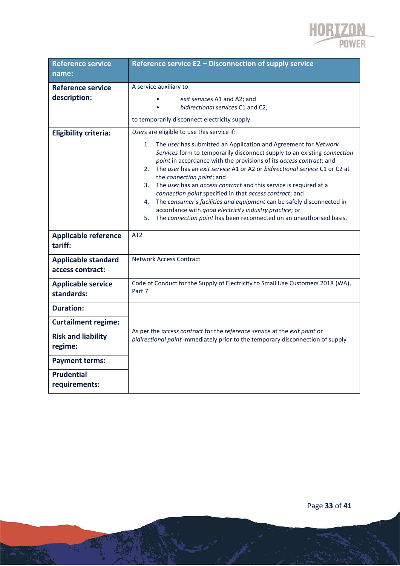

| <b>Reference service</b><br>name:                                                                                                    | Reference service E2 - Disconnection of supply service                                                                                                                                                                                                                                                                                                                                                                                                                                                                                                                                                                                                                                                                                              |  |  |  |  |  |  |
|--------------------------------------------------------------------------------------------------------------------------------------|-----------------------------------------------------------------------------------------------------------------------------------------------------------------------------------------------------------------------------------------------------------------------------------------------------------------------------------------------------------------------------------------------------------------------------------------------------------------------------------------------------------------------------------------------------------------------------------------------------------------------------------------------------------------------------------------------------------------------------------------------------|--|--|--|--|--|--|
| <b>Reference service</b><br>description:                                                                                             | A service auxiliary to:<br>exit services A1 and A2; and<br>bidirectional services C1 and C2,<br>to temporarily disconnect electricity supply.                                                                                                                                                                                                                                                                                                                                                                                                                                                                                                                                                                                                       |  |  |  |  |  |  |
| <b>Eligibility criteria:</b>                                                                                                         | Users are eligible to use this service if:<br>The user has submitted an Application and Agreement for Network<br>1.<br>Services form to temporarily disconnect supply to an existing connection<br>point in accordance with the provisions of its access contract; and<br>The user has an exit service A1 or A2 or bidirectional service C1 or C2 at<br>2.<br>the connection point; and<br>The user has an access contract and this service is required at a<br>3.<br>connection point specified in that access contract; and<br>The consumer's facilities and equipment can be safely disconnected in<br>4.<br>accordance with good electricity industry practice; or<br>The connection point has been reconnected on an unauthorised basis.<br>5. |  |  |  |  |  |  |
| <b>Applicable reference</b><br>tariff:                                                                                               | AT2                                                                                                                                                                                                                                                                                                                                                                                                                                                                                                                                                                                                                                                                                                                                                 |  |  |  |  |  |  |
| <b>Applicable standard</b><br>access contract:                                                                                       | Network Access Contract                                                                                                                                                                                                                                                                                                                                                                                                                                                                                                                                                                                                                                                                                                                             |  |  |  |  |  |  |
| <b>Applicable service</b><br>standards:                                                                                              | Code of Conduct for the Supply of Electricity to Small Use Customers 2018 (WA),<br>Part 7                                                                                                                                                                                                                                                                                                                                                                                                                                                                                                                                                                                                                                                           |  |  |  |  |  |  |
| <b>Duration:</b><br><b>Curtailment regime:</b><br><b>Risk and liability</b><br>regime:<br><b>Payment terms:</b><br><b>Prudential</b> | As per the access contract for the reference service at the exit point or<br>bidirectional point immediately prior to the temporary disconnection of supply                                                                                                                                                                                                                                                                                                                                                                                                                                                                                                                                                                                         |  |  |  |  |  |  |
| requirements:                                                                                                                        |                                                                                                                                                                                                                                                                                                                                                                                                                                                                                                                                                                                                                                                                                                                                                     |  |  |  |  |  |  |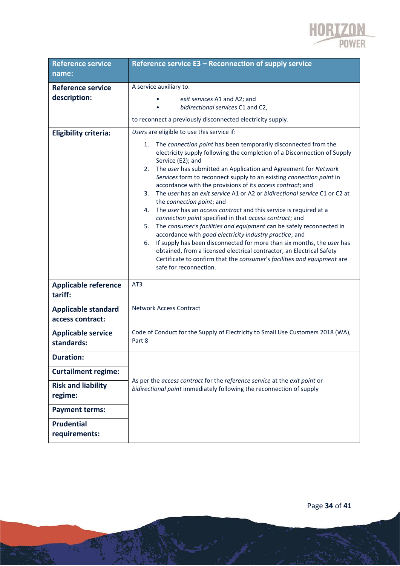

| <b>Reference service</b>                       | Reference service E3 - Reconnection of supply service                                                                                                                                                                                                                                                                                                                                                                                                                                                                                                                                                                                                                                                                                                                                                                                                                                                                                                                                                                                               |  |  |  |  |  |  |  |
|------------------------------------------------|-----------------------------------------------------------------------------------------------------------------------------------------------------------------------------------------------------------------------------------------------------------------------------------------------------------------------------------------------------------------------------------------------------------------------------------------------------------------------------------------------------------------------------------------------------------------------------------------------------------------------------------------------------------------------------------------------------------------------------------------------------------------------------------------------------------------------------------------------------------------------------------------------------------------------------------------------------------------------------------------------------------------------------------------------------|--|--|--|--|--|--|--|
| name:                                          |                                                                                                                                                                                                                                                                                                                                                                                                                                                                                                                                                                                                                                                                                                                                                                                                                                                                                                                                                                                                                                                     |  |  |  |  |  |  |  |
| <b>Reference service</b>                       | A service auxiliary to:                                                                                                                                                                                                                                                                                                                                                                                                                                                                                                                                                                                                                                                                                                                                                                                                                                                                                                                                                                                                                             |  |  |  |  |  |  |  |
| description:                                   | exit services A1 and A2; and<br>bidirectional services C1 and C2,                                                                                                                                                                                                                                                                                                                                                                                                                                                                                                                                                                                                                                                                                                                                                                                                                                                                                                                                                                                   |  |  |  |  |  |  |  |
|                                                | to reconnect a previously disconnected electricity supply.                                                                                                                                                                                                                                                                                                                                                                                                                                                                                                                                                                                                                                                                                                                                                                                                                                                                                                                                                                                          |  |  |  |  |  |  |  |
| <b>Eligibility criteria:</b>                   | Users are eligible to use this service if:                                                                                                                                                                                                                                                                                                                                                                                                                                                                                                                                                                                                                                                                                                                                                                                                                                                                                                                                                                                                          |  |  |  |  |  |  |  |
|                                                | The connection point has been temporarily disconnected from the<br>1.<br>electricity supply following the completion of a Disconnection of Supply<br>Service (E2); and<br>The user has submitted an Application and Agreement for Network<br>2.<br>Services form to reconnect supply to an existing connection point in<br>accordance with the provisions of its access contract; and<br>The user has an exit service A1 or A2 or bidirectional service C1 or C2 at<br>3.<br>the connection point; and<br>The user has an access contract and this service is required at a<br>4.<br>connection point specified in that access contract; and<br>The consumer's facilities and equipment can be safely reconnected in<br>5.<br>accordance with good electricity industry practice; and<br>If supply has been disconnected for more than six months, the user has<br>6.<br>obtained, from a licensed electrical contractor, an Electrical Safety<br>Certificate to confirm that the consumer's facilities and equipment are<br>safe for reconnection. |  |  |  |  |  |  |  |
| <b>Applicable reference</b><br>tariff:         | AT3                                                                                                                                                                                                                                                                                                                                                                                                                                                                                                                                                                                                                                                                                                                                                                                                                                                                                                                                                                                                                                                 |  |  |  |  |  |  |  |
| <b>Applicable standard</b><br>access contract: | <b>Network Access Contract</b>                                                                                                                                                                                                                                                                                                                                                                                                                                                                                                                                                                                                                                                                                                                                                                                                                                                                                                                                                                                                                      |  |  |  |  |  |  |  |
| <b>Applicable service</b><br>standards:        | Code of Conduct for the Supply of Electricity to Small Use Customers 2018 (WA),<br>Part 8                                                                                                                                                                                                                                                                                                                                                                                                                                                                                                                                                                                                                                                                                                                                                                                                                                                                                                                                                           |  |  |  |  |  |  |  |
| <b>Duration:</b>                               |                                                                                                                                                                                                                                                                                                                                                                                                                                                                                                                                                                                                                                                                                                                                                                                                                                                                                                                                                                                                                                                     |  |  |  |  |  |  |  |
| <b>Curtailment regime:</b>                     |                                                                                                                                                                                                                                                                                                                                                                                                                                                                                                                                                                                                                                                                                                                                                                                                                                                                                                                                                                                                                                                     |  |  |  |  |  |  |  |
| <b>Risk and liability</b><br>regime:           | As per the access contract for the reference service at the exit point or<br>bidirectional point immediately following the reconnection of supply                                                                                                                                                                                                                                                                                                                                                                                                                                                                                                                                                                                                                                                                                                                                                                                                                                                                                                   |  |  |  |  |  |  |  |
| <b>Payment terms:</b>                          |                                                                                                                                                                                                                                                                                                                                                                                                                                                                                                                                                                                                                                                                                                                                                                                                                                                                                                                                                                                                                                                     |  |  |  |  |  |  |  |
| <b>Prudential</b><br>requirements:             |                                                                                                                                                                                                                                                                                                                                                                                                                                                                                                                                                                                                                                                                                                                                                                                                                                                                                                                                                                                                                                                     |  |  |  |  |  |  |  |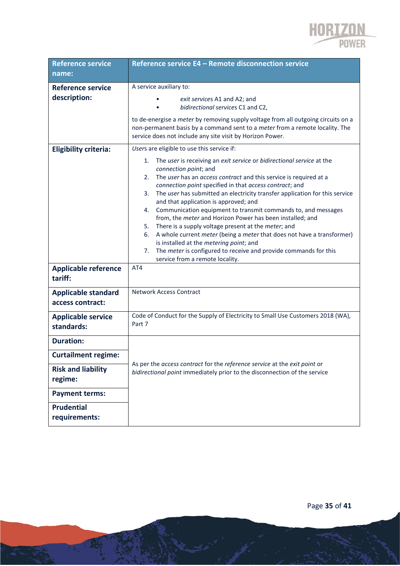

| <b>Reference service</b>                       | Reference service E4 - Remote disconnection service                                                                                                                                                                                                                                                                                                                                                                                                                                                                                                                                                                                                                                                                                                                                                                                                                                   |  |  |  |  |  |  |
|------------------------------------------------|---------------------------------------------------------------------------------------------------------------------------------------------------------------------------------------------------------------------------------------------------------------------------------------------------------------------------------------------------------------------------------------------------------------------------------------------------------------------------------------------------------------------------------------------------------------------------------------------------------------------------------------------------------------------------------------------------------------------------------------------------------------------------------------------------------------------------------------------------------------------------------------|--|--|--|--|--|--|
| name:                                          |                                                                                                                                                                                                                                                                                                                                                                                                                                                                                                                                                                                                                                                                                                                                                                                                                                                                                       |  |  |  |  |  |  |
| <b>Reference service</b><br>description:       | A service auxiliary to:<br>exit services A1 and A2; and<br>bidirectional services C1 and C2,<br>to de-energise a meter by removing supply voltage from all outgoing circuits on a<br>non-permanent basis by a command sent to a meter from a remote locality. The<br>service does not include any site visit by Horizon Power.                                                                                                                                                                                                                                                                                                                                                                                                                                                                                                                                                        |  |  |  |  |  |  |
| <b>Eligibility criteria:</b>                   | Users are eligible to use this service if:<br>The user is receiving an exit service or bidirectional service at the<br>1.<br>connection point; and<br>The user has an access contract and this service is required at a<br>2.<br>connection point specified in that access contract; and<br>The user has submitted an electricity transfer application for this service<br>3.<br>and that application is approved; and<br>Communication equipment to transmit commands to, and messages<br>4.<br>from, the meter and Horizon Power has been installed; and<br>There is a supply voltage present at the <i>meter</i> ; and<br>5.<br>A whole current <i>meter</i> (being a <i>meter</i> that does not have a transformer)<br>6.<br>is installed at the metering point; and<br>The meter is configured to receive and provide commands for this<br>7.<br>service from a remote locality. |  |  |  |  |  |  |
| <b>Applicable reference</b><br>tariff:         | AT4                                                                                                                                                                                                                                                                                                                                                                                                                                                                                                                                                                                                                                                                                                                                                                                                                                                                                   |  |  |  |  |  |  |
| <b>Applicable standard</b><br>access contract: | <b>Network Access Contract</b>                                                                                                                                                                                                                                                                                                                                                                                                                                                                                                                                                                                                                                                                                                                                                                                                                                                        |  |  |  |  |  |  |
| <b>Applicable service</b><br>standards:        | Code of Conduct for the Supply of Electricity to Small Use Customers 2018 (WA),<br>Part 7                                                                                                                                                                                                                                                                                                                                                                                                                                                                                                                                                                                                                                                                                                                                                                                             |  |  |  |  |  |  |
| <b>Duration:</b>                               |                                                                                                                                                                                                                                                                                                                                                                                                                                                                                                                                                                                                                                                                                                                                                                                                                                                                                       |  |  |  |  |  |  |
| <b>Curtailment regime:</b>                     |                                                                                                                                                                                                                                                                                                                                                                                                                                                                                                                                                                                                                                                                                                                                                                                                                                                                                       |  |  |  |  |  |  |
| <b>Risk and liability</b><br>regime:           | As per the access contract for the reference service at the exit point or<br>bidirectional point immediately prior to the disconnection of the service                                                                                                                                                                                                                                                                                                                                                                                                                                                                                                                                                                                                                                                                                                                                |  |  |  |  |  |  |
| <b>Payment terms:</b>                          |                                                                                                                                                                                                                                                                                                                                                                                                                                                                                                                                                                                                                                                                                                                                                                                                                                                                                       |  |  |  |  |  |  |
| <b>Prudential</b><br>requirements:             |                                                                                                                                                                                                                                                                                                                                                                                                                                                                                                                                                                                                                                                                                                                                                                                                                                                                                       |  |  |  |  |  |  |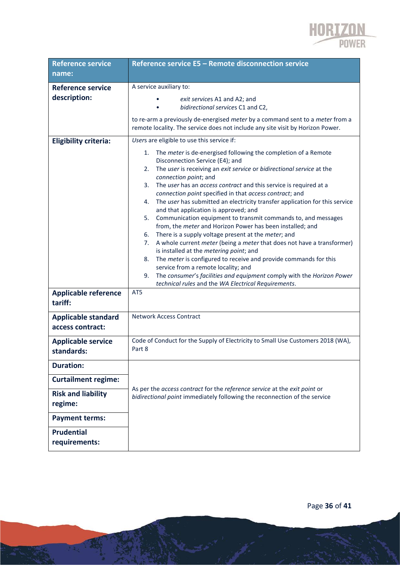

| <b>Reference service</b>                       | Reference service E5 - Remote disconnection service                                                                                                                                                                                                                                                                                                                                                                                                                                                                                                                                                                                                                                                                                                                                                                                                                                                                                                                                                                                                                                   |  |  |  |  |  |  |  |
|------------------------------------------------|---------------------------------------------------------------------------------------------------------------------------------------------------------------------------------------------------------------------------------------------------------------------------------------------------------------------------------------------------------------------------------------------------------------------------------------------------------------------------------------------------------------------------------------------------------------------------------------------------------------------------------------------------------------------------------------------------------------------------------------------------------------------------------------------------------------------------------------------------------------------------------------------------------------------------------------------------------------------------------------------------------------------------------------------------------------------------------------|--|--|--|--|--|--|--|
| name:                                          |                                                                                                                                                                                                                                                                                                                                                                                                                                                                                                                                                                                                                                                                                                                                                                                                                                                                                                                                                                                                                                                                                       |  |  |  |  |  |  |  |
| <b>Reference service</b><br>description:       | A service auxiliary to:<br>exit services A1 and A2; and<br>bidirectional services C1 and C2,                                                                                                                                                                                                                                                                                                                                                                                                                                                                                                                                                                                                                                                                                                                                                                                                                                                                                                                                                                                          |  |  |  |  |  |  |  |
|                                                | to re-arm a previously de-energised meter by a command sent to a meter from a<br>remote locality. The service does not include any site visit by Horizon Power.                                                                                                                                                                                                                                                                                                                                                                                                                                                                                                                                                                                                                                                                                                                                                                                                                                                                                                                       |  |  |  |  |  |  |  |
| <b>Eligibility criteria:</b>                   | Users are eligible to use this service if:                                                                                                                                                                                                                                                                                                                                                                                                                                                                                                                                                                                                                                                                                                                                                                                                                                                                                                                                                                                                                                            |  |  |  |  |  |  |  |
| <b>Applicable reference</b>                    | The meter is de-energised following the completion of a Remote<br>1.<br>Disconnection Service (E4); and<br>The user is receiving an exit service or bidirectional service at the<br>2.<br>connection point; and<br>The user has an access contract and this service is required at a<br>3.<br>connection point specified in that access contract; and<br>The user has submitted an electricity transfer application for this service<br>4.<br>and that application is approved; and<br>5.<br>Communication equipment to transmit commands to, and messages<br>from, the meter and Horizon Power has been installed; and<br>There is a supply voltage present at the <i>meter</i> ; and<br>6.<br>A whole current meter (being a meter that does not have a transformer)<br>7.<br>is installed at the metering point; and<br>The meter is configured to receive and provide commands for this<br>8.<br>service from a remote locality; and<br>The consumer's facilities and equipment comply with the Horizon Power<br>9.<br>technical rules and the WA Electrical Requirements.<br>AT5 |  |  |  |  |  |  |  |
| tariff:                                        |                                                                                                                                                                                                                                                                                                                                                                                                                                                                                                                                                                                                                                                                                                                                                                                                                                                                                                                                                                                                                                                                                       |  |  |  |  |  |  |  |
| <b>Applicable standard</b><br>access contract: | <b>Network Access Contract</b>                                                                                                                                                                                                                                                                                                                                                                                                                                                                                                                                                                                                                                                                                                                                                                                                                                                                                                                                                                                                                                                        |  |  |  |  |  |  |  |
| <b>Applicable service</b><br>standards:        | Code of Conduct for the Supply of Electricity to Small Use Customers 2018 (WA),<br>Part 8                                                                                                                                                                                                                                                                                                                                                                                                                                                                                                                                                                                                                                                                                                                                                                                                                                                                                                                                                                                             |  |  |  |  |  |  |  |
| <b>Duration:</b>                               |                                                                                                                                                                                                                                                                                                                                                                                                                                                                                                                                                                                                                                                                                                                                                                                                                                                                                                                                                                                                                                                                                       |  |  |  |  |  |  |  |
| <b>Curtailment regime:</b>                     |                                                                                                                                                                                                                                                                                                                                                                                                                                                                                                                                                                                                                                                                                                                                                                                                                                                                                                                                                                                                                                                                                       |  |  |  |  |  |  |  |
| <b>Risk and liability</b><br>regime:           | As per the access contract for the reference service at the exit point or<br>bidirectional point immediately following the reconnection of the service                                                                                                                                                                                                                                                                                                                                                                                                                                                                                                                                                                                                                                                                                                                                                                                                                                                                                                                                |  |  |  |  |  |  |  |
| <b>Payment terms:</b>                          |                                                                                                                                                                                                                                                                                                                                                                                                                                                                                                                                                                                                                                                                                                                                                                                                                                                                                                                                                                                                                                                                                       |  |  |  |  |  |  |  |
| <b>Prudential</b><br>requirements:             |                                                                                                                                                                                                                                                                                                                                                                                                                                                                                                                                                                                                                                                                                                                                                                                                                                                                                                                                                                                                                                                                                       |  |  |  |  |  |  |  |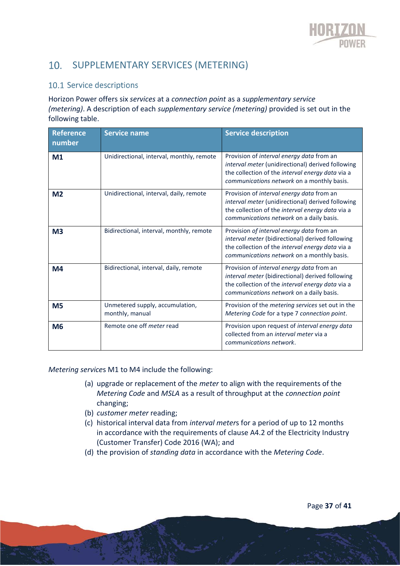

### 10. SUPPLEMENTARY SERVICES (METERING)

#### 10.1 Service descriptions

Horizon Power offers six *services* at a *connection point* as a *supplementary service (metering)*. A description of each *supplementary service (metering)* provided is set out in the following table.

| <b>Reference</b><br>number | <b>Service name</b>                                | <b>Service description</b>                                                                                                                                                                       |
|----------------------------|----------------------------------------------------|--------------------------------------------------------------------------------------------------------------------------------------------------------------------------------------------------|
| M <sub>1</sub>             | Unidirectional, interval, monthly, remote          | Provision of interval energy data from an<br>interval meter (unidirectional) derived following<br>the collection of the interval energy data via a<br>communications network on a monthly basis. |
| M <sub>2</sub>             | Unidirectional, interval, daily, remote            | Provision of interval energy data from an<br>interval meter (unidirectional) derived following<br>the collection of the interval energy data via a<br>communications network on a daily basis.   |
| M <sub>3</sub>             | Bidirectional, interval, monthly, remote           | Provision of interval energy data from an<br>interval meter (bidirectional) derived following<br>the collection of the interval energy data via a<br>communications network on a monthly basis.  |
| M <sub>4</sub>             | Bidirectional, interval, daily, remote             | Provision of interval energy data from an<br>interval meter (bidirectional) derived following<br>the collection of the interval energy data via a<br>communications network on a daily basis.    |
| M <sub>5</sub>             | Unmetered supply, accumulation,<br>monthly, manual | Provision of the metering services set out in the<br>Metering Code for a type 7 connection point.                                                                                                |
| M <sub>6</sub>             | Remote one off <i>meter</i> read                   | Provision upon request of interval energy data<br>collected from an interval meter via a<br>communications network.                                                                              |

*Metering service*s M1 to M4 include the following:

- (a) upgrade or replacement of the *meter* to align with the requirements of the *Metering Code* and *MSLA* as a result of throughput at the *connection point* changing;
- (b) *customer meter* reading;
- (c) historical interval data from *interval meter*s for a period of up to 12 months in accordance with the requirements of clause A4.2 of the Electricity Industry (Customer Transfer) Code 2016 (WA); and
- (d) the provision of *standing data* in accordance with the *Metering Code*.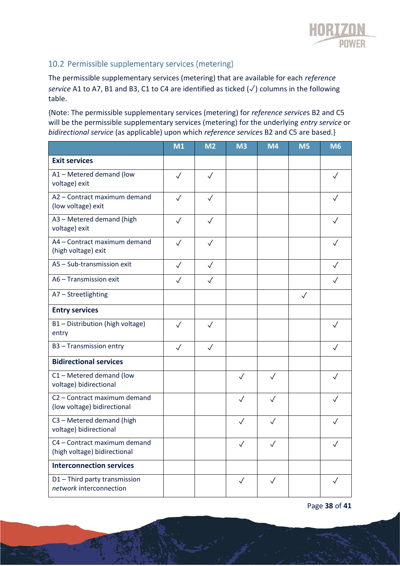

#### 10.2 Permissible supplementary services (metering)

The permissible supplementary services (metering) that are available for each *reference service* A1 to A7, B1 and B3, C1 to C4 are identified as ticked (✓) columns in the following table.

{Note: The permissible supplementary services (metering) for *reference service*s B2 and C5 will be the permissible supplementary services (metering) for the underlying *entry service* or *bidirectional service* (as applicable) upon which *reference service*s B2 and C5 are based.}

|                                                              | M1           | M <sub>2</sub> | M <sub>3</sub> | <b>M4</b>    | M <sub>5</sub> | <b>M6</b>    |
|--------------------------------------------------------------|--------------|----------------|----------------|--------------|----------------|--------------|
| <b>Exit services</b>                                         |              |                |                |              |                |              |
| A1 - Metered demand (low<br>voltage) exit                    | $\checkmark$ | $\checkmark$   |                |              |                |              |
| A2 - Contract maximum demand<br>(low voltage) exit           | $\checkmark$ | $\checkmark$   |                |              |                | $\checkmark$ |
| A3 - Metered demand (high<br>voltage) exit                   | $\checkmark$ | $\sqrt{}$      |                |              |                |              |
| A4 - Contract maximum demand<br>(high voltage) exit          | $\checkmark$ | $\checkmark$   |                |              |                | $\checkmark$ |
| A5 - Sub-transmission exit                                   | $\sqrt{}$    | $\sqrt{}$      |                |              |                |              |
| A6 - Transmission exit                                       | $\sqrt{}$    | $\checkmark$   |                |              |                |              |
| A7 - Streetlighting                                          |              |                |                |              | $\checkmark$   |              |
| <b>Entry services</b>                                        |              |                |                |              |                |              |
| B1-Distribution (high voltage)<br>entry                      | $\checkmark$ | $\checkmark$   |                |              |                |              |
| B3 - Transmission entry                                      | $\sqrt{}$    | $\checkmark$   |                |              |                | $\checkmark$ |
| <b>Bidirectional services</b>                                |              |                |                |              |                |              |
| C1 - Metered demand (low<br>voltage) bidirectional           |              |                | $\sqrt{}$      | $\checkmark$ |                |              |
| C2 - Contract maximum demand<br>(low voltage) bidirectional  |              |                | $\sqrt{}$      | $\checkmark$ |                |              |
| C3 - Metered demand (high<br>voltage) bidirectional          |              |                | $\checkmark$   | $\checkmark$ |                |              |
| C4 – Contract maximum demand<br>(high voltage) bidirectional |              |                |                |              |                |              |
| <b>Interconnection services</b>                              |              |                |                |              |                |              |
| D1-Third party transmission<br>network interconnection       |              |                | $\checkmark$   | $\checkmark$ |                | $\checkmark$ |

Page **38** of **41**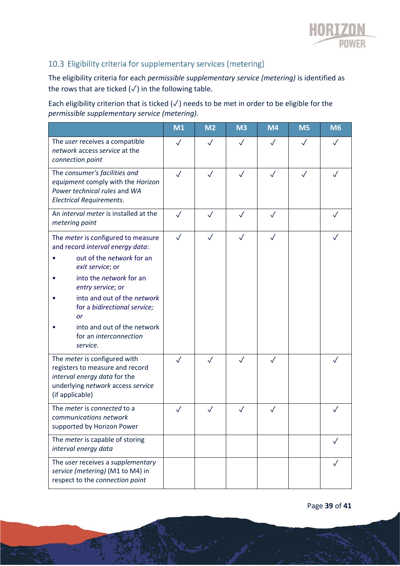

### 10.3 Eligibility criteria for supplementary services (metering)

The eligibility criteria for each *permissible supplementary service (metering)* is identified as the rows that are ticked  $(\checkmark)$  in the following table.

Each eligibility criterion that is ticked ( $\sqrt{ }$ ) needs to be met in order to be eligible for the *permissible supplementary service (metering)*.

|                                                                                                                                                                                                                                                                                                                          | M <sub>1</sub> | M <sub>2</sub> | M <sub>3</sub> | <b>M4</b>    | M <sub>5</sub> | M <sub>6</sub> |
|--------------------------------------------------------------------------------------------------------------------------------------------------------------------------------------------------------------------------------------------------------------------------------------------------------------------------|----------------|----------------|----------------|--------------|----------------|----------------|
| The user receives a compatible<br>network access service at the<br>connection point                                                                                                                                                                                                                                      | $\checkmark$   | $\checkmark$   | $\checkmark$   | $\checkmark$ | $\checkmark$   |                |
| The consumer's facilities and<br>equipment comply with the Horizon<br>Power technical rules and WA<br><b>Electrical Requirements.</b>                                                                                                                                                                                    | $\checkmark$   | $\checkmark$   | $\checkmark$   | $\checkmark$ | $\checkmark$   |                |
| An interval meter is installed at the<br>metering point                                                                                                                                                                                                                                                                  | $\checkmark$   | $\checkmark$   | $\checkmark$   | $\checkmark$ |                |                |
| The meter is configured to measure<br>and record interval energy data:<br>out of the network for an<br>exit service; or<br>into the <i>network</i> for an<br>entry service; or<br>into and out of the network<br>for a bidirectional service;<br>or<br>into and out of the network<br>for an interconnection<br>service. | $\checkmark$   | $\checkmark$   | $\checkmark$   | $\checkmark$ |                |                |
| The meter is configured with<br>registers to measure and record<br>interval energy data for the<br>underlying network access service<br>(if applicable)                                                                                                                                                                  | $\checkmark$   | $\checkmark$   | $\checkmark$   | $\checkmark$ |                |                |
| The meter is connected to a<br>communications network<br>supported by Horizon Power                                                                                                                                                                                                                                      |                |                | $\checkmark$   | $\checkmark$ |                |                |
| The <i>meter</i> is capable of storing<br>interval energy data                                                                                                                                                                                                                                                           |                |                |                |              |                |                |
| The user receives a supplementary<br>service (metering) (M1 to M4) in<br>respect to the connection point                                                                                                                                                                                                                 |                |                |                |              |                |                |

Page **39** of **41**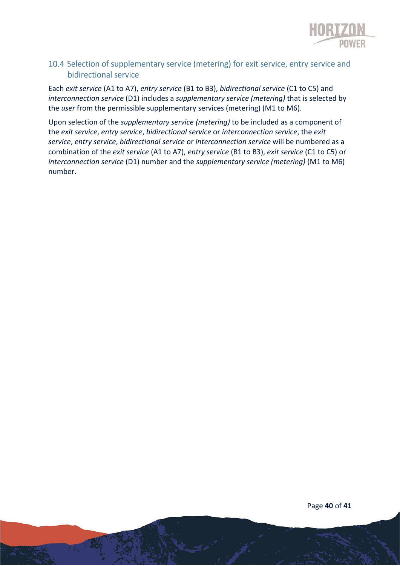

#### 10.4 Selection of supplementary service (metering) for exit service, entry service and bidirectional service

Each *exit service* (A1 to A7), *entry service* (B1 to B3), *bidirectional service* (C1 to C5) and *interconnection service* (D1) includes a *supplementary service (metering)* that is selected by the *user* from the permissible supplementary services (metering) (M1 to M6).

Upon selection of the *supplementary service (metering)* to be included as a component of the *exit service*, *entry service*, *bidirectional service* or *interconnection service*, the *exit service*, *entry service*, *bidirectional service* or *interconnection service* will be numbered as a combination of the *exit service* (A1 to A7), *entry service* (B1 to B3), *exit service* (C1 to C5) or *interconnection service* (D1) number and the *supplementary service (metering)* (M1 to M6) number.